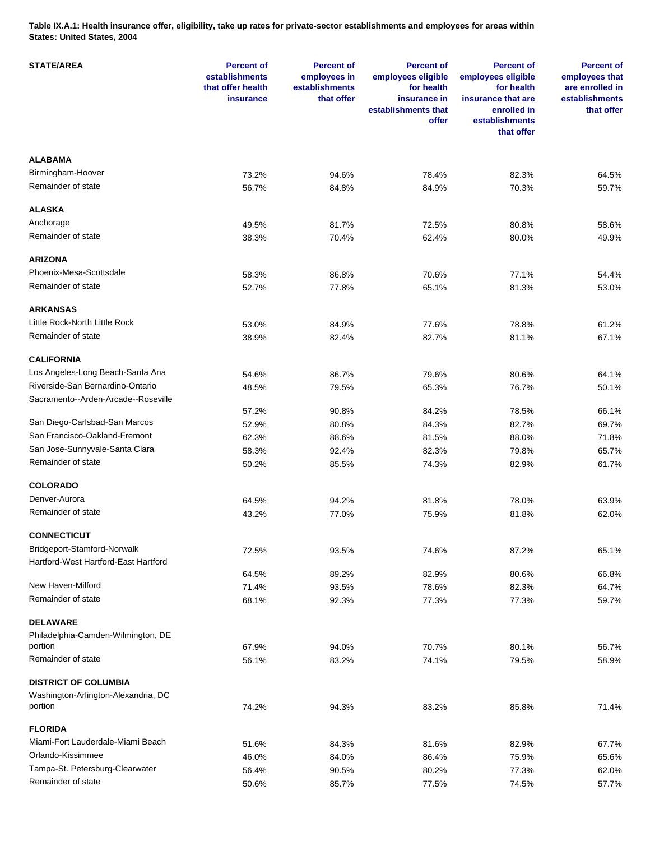**Table IX.A.1: Health insurance offer, eligibility, take up rates for private-sector establishments and employees for areas within States: United States, 2004** 

| <b>STATE/AREA</b>                    | <b>Percent of</b><br>establishments<br>that offer health<br>insurance | <b>Percent of</b><br>employees in<br>establishments<br>that offer | <b>Percent of</b><br>employees eligible<br>for health<br>insurance in<br>establishments that<br>offer | <b>Percent of</b><br>employees eligible<br>for health<br>insurance that are<br>enrolled in<br>establishments<br>that offer | <b>Percent of</b><br>employees that<br>are enrolled in<br>establishments<br>that offer |
|--------------------------------------|-----------------------------------------------------------------------|-------------------------------------------------------------------|-------------------------------------------------------------------------------------------------------|----------------------------------------------------------------------------------------------------------------------------|----------------------------------------------------------------------------------------|
| <b>ALABAMA</b>                       |                                                                       |                                                                   |                                                                                                       |                                                                                                                            |                                                                                        |
| Birmingham-Hoover                    | 73.2%                                                                 | 94.6%                                                             | 78.4%                                                                                                 | 82.3%                                                                                                                      | 64.5%                                                                                  |
| Remainder of state                   | 56.7%                                                                 | 84.8%                                                             | 84.9%                                                                                                 | 70.3%                                                                                                                      | 59.7%                                                                                  |
| <b>ALASKA</b>                        |                                                                       |                                                                   |                                                                                                       |                                                                                                                            |                                                                                        |
| Anchorage                            | 49.5%                                                                 | 81.7%                                                             | 72.5%                                                                                                 | 80.8%                                                                                                                      | 58.6%                                                                                  |
| Remainder of state                   |                                                                       |                                                                   |                                                                                                       |                                                                                                                            |                                                                                        |
|                                      | 38.3%                                                                 | 70.4%                                                             | 62.4%                                                                                                 | 80.0%                                                                                                                      | 49.9%                                                                                  |
| <b>ARIZONA</b>                       |                                                                       |                                                                   |                                                                                                       |                                                                                                                            |                                                                                        |
| Phoenix-Mesa-Scottsdale              | 58.3%                                                                 | 86.8%                                                             | 70.6%                                                                                                 | 77.1%                                                                                                                      | 54.4%                                                                                  |
| Remainder of state                   | 52.7%                                                                 | 77.8%                                                             | 65.1%                                                                                                 | 81.3%                                                                                                                      | 53.0%                                                                                  |
| <b>ARKANSAS</b>                      |                                                                       |                                                                   |                                                                                                       |                                                                                                                            |                                                                                        |
| Little Rock-North Little Rock        | 53.0%                                                                 | 84.9%                                                             | 77.6%                                                                                                 | 78.8%                                                                                                                      | 61.2%                                                                                  |
| Remainder of state                   | 38.9%                                                                 | 82.4%                                                             | 82.7%                                                                                                 | 81.1%                                                                                                                      | 67.1%                                                                                  |
| <b>CALIFORNIA</b>                    |                                                                       |                                                                   |                                                                                                       |                                                                                                                            |                                                                                        |
| Los Angeles-Long Beach-Santa Ana     | 54.6%                                                                 |                                                                   | 79.6%                                                                                                 |                                                                                                                            |                                                                                        |
| Riverside-San Bernardino-Ontario     |                                                                       | 86.7%                                                             |                                                                                                       | 80.6%<br>76.7%                                                                                                             | 64.1%                                                                                  |
| Sacramento--Arden-Arcade--Roseville  | 48.5%                                                                 | 79.5%                                                             | 65.3%                                                                                                 |                                                                                                                            | 50.1%                                                                                  |
|                                      | 57.2%                                                                 | 90.8%                                                             | 84.2%                                                                                                 | 78.5%                                                                                                                      | 66.1%                                                                                  |
| San Diego-Carlsbad-San Marcos        | 52.9%                                                                 | 80.8%                                                             | 84.3%                                                                                                 | 82.7%                                                                                                                      | 69.7%                                                                                  |
| San Francisco-Oakland-Fremont        | 62.3%                                                                 | 88.6%                                                             | 81.5%                                                                                                 | 88.0%                                                                                                                      | 71.8%                                                                                  |
| San Jose-Sunnyvale-Santa Clara       | 58.3%                                                                 | 92.4%                                                             | 82.3%                                                                                                 | 79.8%                                                                                                                      | 65.7%                                                                                  |
| Remainder of state                   | 50.2%                                                                 | 85.5%                                                             | 74.3%                                                                                                 | 82.9%                                                                                                                      | 61.7%                                                                                  |
| <b>COLORADO</b>                      |                                                                       |                                                                   |                                                                                                       |                                                                                                                            |                                                                                        |
| Denver-Aurora                        |                                                                       |                                                                   |                                                                                                       |                                                                                                                            |                                                                                        |
| Remainder of state                   | 64.5%                                                                 | 94.2%                                                             | 81.8%                                                                                                 | 78.0%                                                                                                                      | 63.9%                                                                                  |
|                                      | 43.2%                                                                 | 77.0%                                                             | 75.9%                                                                                                 | 81.8%                                                                                                                      | 62.0%                                                                                  |
| <b>CONNECTICUT</b>                   |                                                                       |                                                                   |                                                                                                       |                                                                                                                            |                                                                                        |
| Bridgeport-Stamford-Norwalk          | 72.5%                                                                 | 93.5%                                                             | 74.6%                                                                                                 | 87.2%                                                                                                                      | 65.1%                                                                                  |
| Hartford-West Hartford-East Hartford |                                                                       |                                                                   |                                                                                                       |                                                                                                                            |                                                                                        |
| New Haven-Milford                    | 64.5%<br>71.4%                                                        | 89.2%                                                             | 82.9%                                                                                                 | 80.6%<br>82.3%                                                                                                             | 66.8%<br>64.7%                                                                         |
| Remainder of state                   | 68.1%                                                                 | 93.5%<br>92.3%                                                    | 78.6%<br>77.3%                                                                                        | 77.3%                                                                                                                      | 59.7%                                                                                  |
|                                      |                                                                       |                                                                   |                                                                                                       |                                                                                                                            |                                                                                        |
| <b>DELAWARE</b>                      |                                                                       |                                                                   |                                                                                                       |                                                                                                                            |                                                                                        |
| Philadelphia-Camden-Wilmington, DE   |                                                                       |                                                                   |                                                                                                       |                                                                                                                            |                                                                                        |
| portion                              | 67.9%                                                                 | 94.0%                                                             | 70.7%                                                                                                 | 80.1%                                                                                                                      | 56.7%                                                                                  |
| Remainder of state                   | 56.1%                                                                 | 83.2%                                                             | 74.1%                                                                                                 | 79.5%                                                                                                                      | 58.9%                                                                                  |
| <b>DISTRICT OF COLUMBIA</b>          |                                                                       |                                                                   |                                                                                                       |                                                                                                                            |                                                                                        |
| Washington-Arlington-Alexandria, DC  |                                                                       |                                                                   |                                                                                                       |                                                                                                                            |                                                                                        |
| portion                              | 74.2%                                                                 | 94.3%                                                             | 83.2%                                                                                                 | 85.8%                                                                                                                      | 71.4%                                                                                  |
| <b>FLORIDA</b>                       |                                                                       |                                                                   |                                                                                                       |                                                                                                                            |                                                                                        |
| Miami-Fort Lauderdale-Miami Beach    | 51.6%                                                                 | 84.3%                                                             | 81.6%                                                                                                 | 82.9%                                                                                                                      | 67.7%                                                                                  |
| Orlando-Kissimmee                    | 46.0%                                                                 | 84.0%                                                             | 86.4%                                                                                                 | 75.9%                                                                                                                      | 65.6%                                                                                  |
| Tampa-St. Petersburg-Clearwater      | 56.4%                                                                 | 90.5%                                                             | 80.2%                                                                                                 | 77.3%                                                                                                                      | 62.0%                                                                                  |
| Remainder of state                   | 50.6%                                                                 | 85.7%                                                             | 77.5%                                                                                                 | 74.5%                                                                                                                      | 57.7%                                                                                  |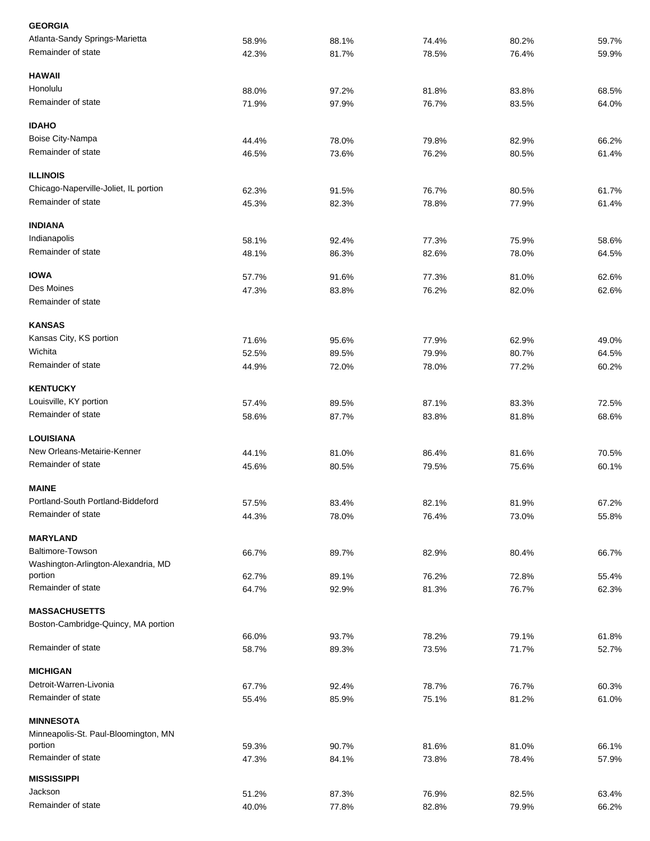| <b>GEORGIA</b>                                           |       |       |       |       |       |
|----------------------------------------------------------|-------|-------|-------|-------|-------|
| Atlanta-Sandy Springs-Marietta                           | 58.9% | 88.1% | 74.4% | 80.2% | 59.7% |
| Remainder of state                                       | 42.3% | 81.7% | 78.5% | 76.4% | 59.9% |
| <b>HAWAII</b>                                            |       |       |       |       |       |
| Honolulu                                                 | 88.0% | 97.2% | 81.8% | 83.8% | 68.5% |
| Remainder of state                                       | 71.9% | 97.9% | 76.7% | 83.5% | 64.0% |
| <b>IDAHO</b>                                             |       |       |       |       |       |
| Boise City-Nampa                                         | 44.4% | 78.0% | 79.8% | 82.9% | 66.2% |
| Remainder of state                                       | 46.5% | 73.6% | 76.2% | 80.5% | 61.4% |
| <b>ILLINOIS</b>                                          |       |       |       |       |       |
| Chicago-Naperville-Joliet, IL portion                    | 62.3% | 91.5% | 76.7% | 80.5% | 61.7% |
| Remainder of state                                       | 45.3% | 82.3% | 78.8% | 77.9% | 61.4% |
| <b>INDIANA</b>                                           |       |       |       |       |       |
| Indianapolis                                             | 58.1% | 92.4% | 77.3% | 75.9% | 58.6% |
| Remainder of state                                       | 48.1% | 86.3% | 82.6% | 78.0% | 64.5% |
| <b>IOWA</b>                                              | 57.7% | 91.6% | 77.3% | 81.0% | 62.6% |
| Des Moines                                               | 47.3% | 83.8% | 76.2% | 82.0% | 62.6% |
| Remainder of state                                       |       |       |       |       |       |
| <b>KANSAS</b>                                            |       |       |       |       |       |
| Kansas City, KS portion                                  | 71.6% | 95.6% | 77.9% | 62.9% | 49.0% |
| Wichita                                                  | 52.5% | 89.5% | 79.9% | 80.7% | 64.5% |
| Remainder of state                                       | 44.9% | 72.0% | 78.0% | 77.2% | 60.2% |
|                                                          |       |       |       |       |       |
| <b>KENTUCKY</b>                                          |       |       |       |       |       |
| Louisville, KY portion                                   | 57.4% | 89.5% | 87.1% | 83.3% | 72.5% |
| Remainder of state                                       | 58.6% | 87.7% | 83.8% | 81.8% | 68.6% |
| <b>LOUISIANA</b>                                         |       |       |       |       |       |
| New Orleans-Metairie-Kenner                              | 44.1% | 81.0% | 86.4% | 81.6% | 70.5% |
| Remainder of state                                       | 45.6% | 80.5% | 79.5% | 75.6% | 60.1% |
| <b>MAINE</b>                                             |       |       |       |       |       |
| Portland-South Portland-Biddeford                        | 57.5% | 83.4% | 82.1% | 81.9% | 67.2% |
| Remainder of state                                       | 44.3% | 78.0% | 76.4% | 73.0% | 55.8% |
| <b>MARYLAND</b>                                          |       |       |       |       |       |
| <b>Baltimore-Towson</b>                                  | 66.7% | 89.7% | 82.9% | 80.4% | 66.7% |
| Washington-Arlington-Alexandria, MD                      |       |       |       |       |       |
| portion                                                  | 62.7% | 89.1% | 76.2% | 72.8% | 55.4% |
| Remainder of state                                       | 64.7% | 92.9% | 81.3% | 76.7% | 62.3% |
| <b>MASSACHUSETTS</b>                                     |       |       |       |       |       |
| Boston-Cambridge-Quincy, MA portion                      | 66.0% | 93.7% | 78.2% | 79.1% | 61.8% |
| Remainder of state                                       | 58.7% | 89.3% | 73.5% | 71.7% | 52.7% |
| <b>MICHIGAN</b>                                          |       |       |       |       |       |
| Detroit-Warren-Livonia                                   |       |       |       |       |       |
| Remainder of state                                       | 67.7% | 92.4% | 78.7% | 76.7% | 60.3% |
|                                                          | 55.4% | 85.9% | 75.1% | 81.2% | 61.0% |
| <b>MINNESOTA</b><br>Minneapolis-St. Paul-Bloomington, MN |       |       |       |       |       |
| portion                                                  | 59.3% | 90.7% | 81.6% | 81.0% | 66.1% |
| Remainder of state                                       | 47.3% | 84.1% | 73.8% | 78.4% | 57.9% |
| <b>MISSISSIPPI</b>                                       |       |       |       |       |       |
| Jackson                                                  | 51.2% | 87.3% | 76.9% | 82.5% | 63.4% |
| Remainder of state                                       | 40.0% | 77.8% | 82.8% | 79.9% | 66.2% |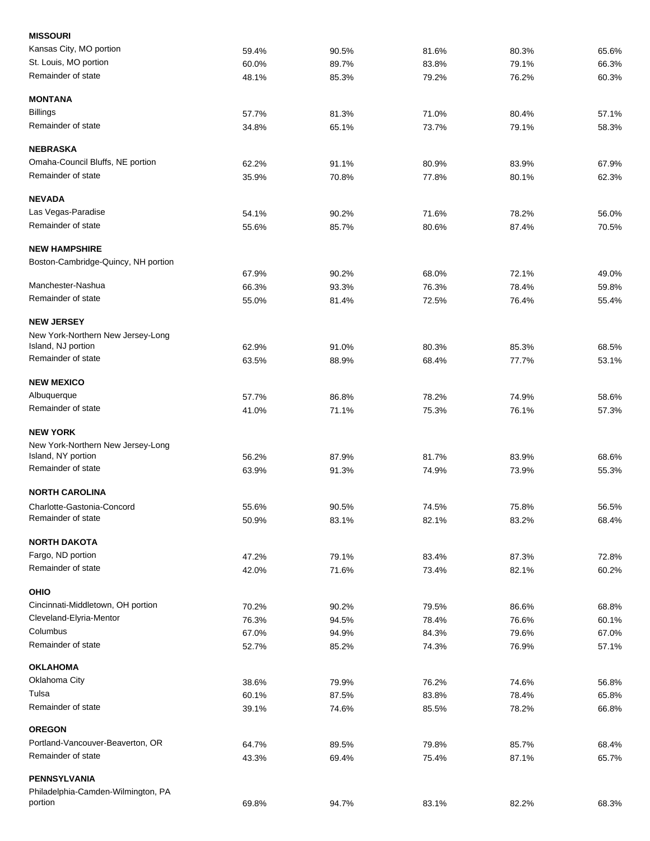| <b>MISSOURI</b>                     |       |       |       |       |       |
|-------------------------------------|-------|-------|-------|-------|-------|
| Kansas City, MO portion             | 59.4% | 90.5% | 81.6% | 80.3% | 65.6% |
| St. Louis, MO portion               | 60.0% | 89.7% | 83.8% | 79.1% | 66.3% |
| Remainder of state                  | 48.1% | 85.3% | 79.2% | 76.2% | 60.3% |
| <b>MONTANA</b>                      |       |       |       |       |       |
| <b>Billings</b>                     | 57.7% | 81.3% | 71.0% | 80.4% | 57.1% |
| Remainder of state                  | 34.8% | 65.1% | 73.7% | 79.1% | 58.3% |
| <b>NEBRASKA</b>                     |       |       |       |       |       |
| Omaha-Council Bluffs, NE portion    | 62.2% | 91.1% | 80.9% | 83.9% | 67.9% |
| Remainder of state                  | 35.9% | 70.8% | 77.8% | 80.1% | 62.3% |
| <b>NEVADA</b>                       |       |       |       |       |       |
| Las Vegas-Paradise                  | 54.1% | 90.2% | 71.6% | 78.2% | 56.0% |
| Remainder of state                  | 55.6% | 85.7% | 80.6% | 87.4% | 70.5% |
| <b>NEW HAMPSHIRE</b>                |       |       |       |       |       |
| Boston-Cambridge-Quincy, NH portion |       |       |       |       |       |
|                                     | 67.9% | 90.2% | 68.0% | 72.1% | 49.0% |
| Manchester-Nashua                   | 66.3% | 93.3% | 76.3% | 78.4% | 59.8% |
| Remainder of state                  | 55.0% | 81.4% | 72.5% | 76.4% | 55.4% |
| <b>NEW JERSEY</b>                   |       |       |       |       |       |
| New York-Northern New Jersey-Long   |       |       |       |       |       |
| Island, NJ portion                  | 62.9% | 91.0% | 80.3% | 85.3% | 68.5% |
| Remainder of state                  | 63.5% | 88.9% | 68.4% | 77.7% | 53.1% |
| <b>NEW MEXICO</b>                   |       |       |       |       |       |
| Albuquerque                         | 57.7% | 86.8% | 78.2% | 74.9% | 58.6% |
| Remainder of state                  | 41.0% | 71.1% | 75.3% | 76.1% | 57.3% |
| <b>NEW YORK</b>                     |       |       |       |       |       |
| New York-Northern New Jersey-Long   |       |       |       |       |       |
| Island, NY portion                  | 56.2% | 87.9% | 81.7% | 83.9% | 68.6% |
| Remainder of state                  | 63.9% | 91.3% | 74.9% | 73.9% | 55.3% |
| <b>NORTH CAROLINA</b>               |       |       |       |       |       |
| Charlotte-Gastonia-Concord          | 55.6% | 90.5% | 74.5% | 75.8% | 56.5% |
| Remainder of state                  | 50.9% | 83.1% | 82.1% | 83.2% | 68.4% |
| <b>NORTH DAKOTA</b>                 |       |       |       |       |       |
| Fargo, ND portion                   | 47.2% | 79.1% | 83.4% | 87.3% | 72.8% |
| Remainder of state                  | 42.0% | 71.6% | 73.4% | 82.1% | 60.2% |
| <b>OHIO</b>                         |       |       |       |       |       |
| Cincinnati-Middletown, OH portion   | 70.2% | 90.2% | 79.5% | 86.6% | 68.8% |
| Cleveland-Elyria-Mentor             | 76.3% | 94.5% | 78.4% | 76.6% | 60.1% |
| Columbus                            | 67.0% | 94.9% | 84.3% | 79.6% | 67.0% |
| Remainder of state                  | 52.7% | 85.2% | 74.3% | 76.9% | 57.1% |
| <b>OKLAHOMA</b>                     |       |       |       |       |       |
| Oklahoma City                       | 38.6% | 79.9% | 76.2% | 74.6% | 56.8% |
| Tulsa                               | 60.1% | 87.5% | 83.8% | 78.4% | 65.8% |
| Remainder of state                  | 39.1% | 74.6% | 85.5% | 78.2% | 66.8% |
| <b>OREGON</b>                       |       |       |       |       |       |
| Portland-Vancouver-Beaverton, OR    | 64.7% | 89.5% | 79.8% | 85.7% | 68.4% |
| Remainder of state                  | 43.3% | 69.4% | 75.4% | 87.1% | 65.7% |
| PENNSYLVANIA                        |       |       |       |       |       |
| Philadelphia-Camden-Wilmington, PA  |       |       |       |       |       |
| portion                             | 69.8% | 94.7% | 83.1% | 82.2% | 68.3% |
|                                     |       |       |       |       |       |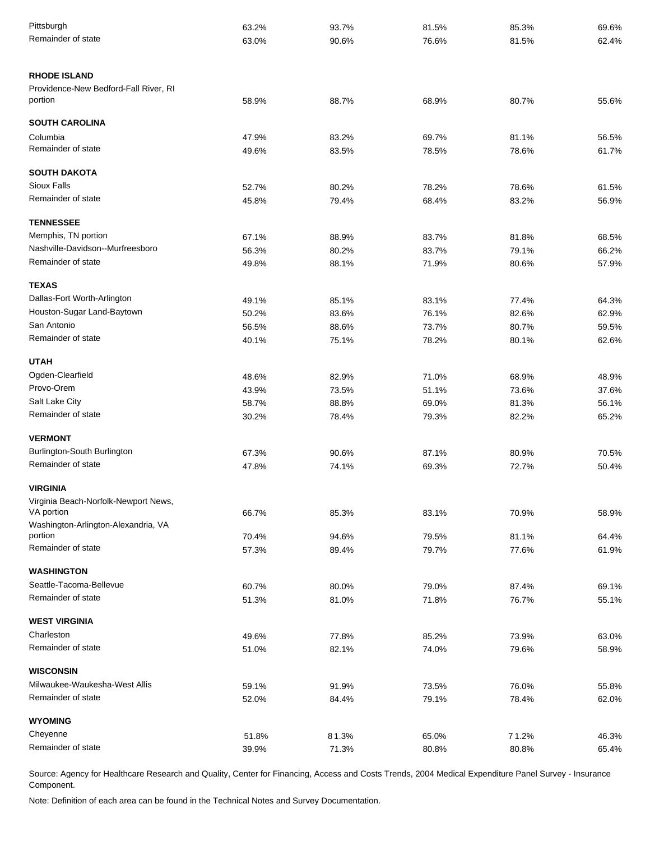| Pittsburgh                                     | 63.2% | 93.7% | 81.5% | 85.3% | 69.6% |
|------------------------------------------------|-------|-------|-------|-------|-------|
| Remainder of state                             | 63.0% | 90.6% | 76.6% | 81.5% | 62.4% |
| <b>RHODE ISLAND</b>                            |       |       |       |       |       |
| Providence-New Bedford-Fall River, RI          |       |       |       |       |       |
| portion                                        | 58.9% | 88.7% | 68.9% | 80.7% | 55.6% |
| <b>SOUTH CAROLINA</b>                          |       |       |       |       |       |
| Columbia                                       | 47.9% | 83.2% | 69.7% | 81.1% | 56.5% |
| Remainder of state                             | 49.6% | 83.5% | 78.5% | 78.6% | 61.7% |
| <b>SOUTH DAKOTA</b>                            |       |       |       |       |       |
| Sioux Falls                                    | 52.7% | 80.2% | 78.2% | 78.6% | 61.5% |
| Remainder of state                             | 45.8% | 79.4% | 68.4% | 83.2% | 56.9% |
| <b>TENNESSEE</b>                               |       |       |       |       |       |
| Memphis, TN portion                            | 67.1% | 88.9% | 83.7% | 81.8% | 68.5% |
| Nashville-Davidson--Murfreesboro               | 56.3% | 80.2% | 83.7% | 79.1% | 66.2% |
| Remainder of state                             | 49.8% | 88.1% | 71.9% | 80.6% | 57.9% |
| <b>TEXAS</b>                                   |       |       |       |       |       |
| Dallas-Fort Worth-Arlington                    | 49.1% | 85.1% | 83.1% | 77.4% | 64.3% |
| Houston-Sugar Land-Baytown                     | 50.2% | 83.6% | 76.1% | 82.6% | 62.9% |
| San Antonio                                    | 56.5% | 88.6% | 73.7% | 80.7% | 59.5% |
| Remainder of state                             | 40.1% | 75.1% | 78.2% | 80.1% | 62.6% |
| <b>UTAH</b>                                    |       |       |       |       |       |
| Ogden-Clearfield                               | 48.6% | 82.9% | 71.0% | 68.9% | 48.9% |
| Provo-Orem                                     | 43.9% | 73.5% | 51.1% | 73.6% | 37.6% |
| Salt Lake City                                 | 58.7% | 88.8% | 69.0% | 81.3% | 56.1% |
| Remainder of state                             | 30.2% | 78.4% | 79.3% | 82.2% | 65.2% |
| <b>VERMONT</b>                                 |       |       |       |       |       |
| Burlington-South Burlington                    | 67.3% | 90.6% | 87.1% | 80.9% | 70.5% |
| Remainder of state                             | 47.8% | 74.1% | 69.3% | 72.7% | 50.4% |
| <b>VIRGINIA</b>                                |       |       |       |       |       |
| Virginia Beach-Norfolk-Newport News,           |       |       |       |       |       |
| VA portion                                     | 66.7% | 85.3% | 83.1% | 70.9% | 58.9% |
| Washington-Arlington-Alexandria, VA<br>portion | 70.4% | 94.6% | 79.5% | 81.1% | 64.4% |
| Remainder of state                             | 57.3% | 89.4% | 79.7% | 77.6% | 61.9% |
|                                                |       |       |       |       |       |
| <b>WASHINGTON</b>                              |       |       |       |       |       |
| Seattle-Tacoma-Bellevue<br>Remainder of state  | 60.7% | 80.0% | 79.0% | 87.4% | 69.1% |
|                                                | 51.3% | 81.0% | 71.8% | 76.7% | 55.1% |
| <b>WEST VIRGINIA</b>                           |       |       |       |       |       |
| Charleston                                     | 49.6% | 77.8% | 85.2% | 73.9% | 63.0% |
| Remainder of state                             | 51.0% | 82.1% | 74.0% | 79.6% | 58.9% |
| <b>WISCONSIN</b>                               |       |       |       |       |       |
| Milwaukee-Waukesha-West Allis                  | 59.1% | 91.9% | 73.5% | 76.0% | 55.8% |
| Remainder of state                             | 52.0% | 84.4% | 79.1% | 78.4% | 62.0% |
| <b>WYOMING</b>                                 |       |       |       |       |       |
| Cheyenne                                       | 51.8% | 81.3% | 65.0% | 71.2% | 46.3% |
| Remainder of state                             | 39.9% | 71.3% | 80.8% | 80.8% | 65.4% |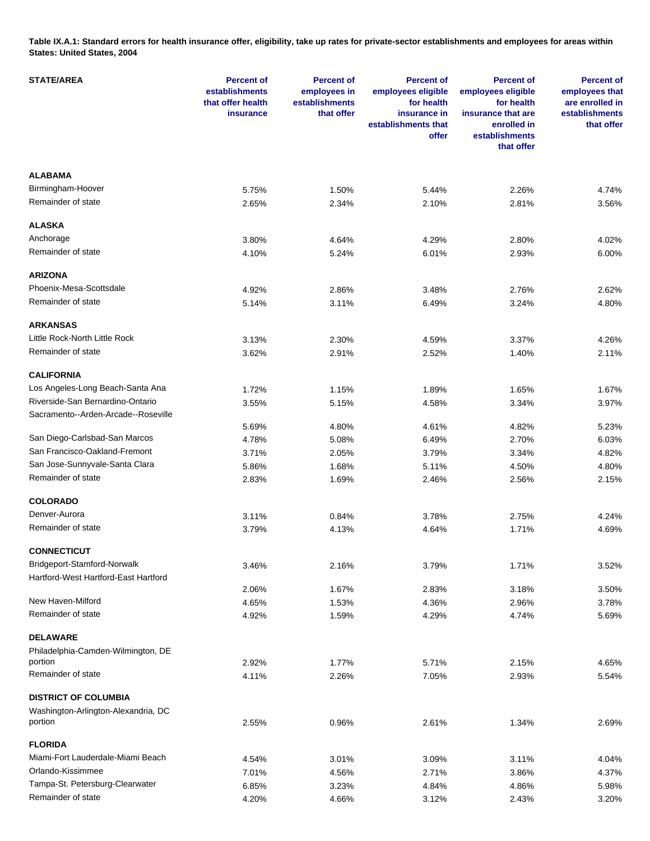**Table IX.A.1: Standard errors for health insurance offer, eligibility, take up rates for private-sector establishments and employees for areas within States: United States, 2004** 

| <b>STATE/AREA</b>                    | <b>Percent of</b><br>establishments<br>that offer health<br>insurance | <b>Percent of</b><br>employees in<br>establishments<br>that offer | <b>Percent of</b><br>employees eligible<br>for health<br>insurance in<br>establishments that<br>offer | <b>Percent of</b><br>employees eligible<br>for health<br>insurance that are<br>enrolled in<br>establishments<br>that offer | <b>Percent of</b><br>employees that<br>are enrolled in<br>establishments<br>that offer |
|--------------------------------------|-----------------------------------------------------------------------|-------------------------------------------------------------------|-------------------------------------------------------------------------------------------------------|----------------------------------------------------------------------------------------------------------------------------|----------------------------------------------------------------------------------------|
| <b>ALABAMA</b>                       |                                                                       |                                                                   |                                                                                                       |                                                                                                                            |                                                                                        |
| Birmingham-Hoover                    | 5.75%                                                                 | 1.50%                                                             | 5.44%                                                                                                 | 2.26%                                                                                                                      | 4.74%                                                                                  |
| Remainder of state                   | 2.65%                                                                 | 2.34%                                                             | 2.10%                                                                                                 | 2.81%                                                                                                                      | 3.56%                                                                                  |
| <b>ALASKA</b>                        |                                                                       |                                                                   |                                                                                                       |                                                                                                                            |                                                                                        |
| Anchorage                            | 3.80%                                                                 | 4.64%                                                             | 4.29%                                                                                                 | 2.80%                                                                                                                      | 4.02%                                                                                  |
| Remainder of state                   | 4.10%                                                                 | 5.24%                                                             | 6.01%                                                                                                 | 2.93%                                                                                                                      | 6.00%                                                                                  |
| <b>ARIZONA</b>                       |                                                                       |                                                                   |                                                                                                       |                                                                                                                            |                                                                                        |
| Phoenix-Mesa-Scottsdale              | 4.92%                                                                 | 2.86%                                                             | 3.48%                                                                                                 | 2.76%                                                                                                                      | 2.62%                                                                                  |
| Remainder of state                   | 5.14%                                                                 | 3.11%                                                             | 6.49%                                                                                                 | 3.24%                                                                                                                      | 4.80%                                                                                  |
|                                      |                                                                       |                                                                   |                                                                                                       |                                                                                                                            |                                                                                        |
| <b>ARKANSAS</b>                      |                                                                       |                                                                   |                                                                                                       |                                                                                                                            |                                                                                        |
| Little Rock-North Little Rock        | 3.13%                                                                 | 2.30%                                                             | 4.59%                                                                                                 | 3.37%                                                                                                                      | 4.26%                                                                                  |
| Remainder of state                   | 3.62%                                                                 | 2.91%                                                             | 2.52%                                                                                                 | 1.40%                                                                                                                      | 2.11%                                                                                  |
| <b>CALIFORNIA</b>                    |                                                                       |                                                                   |                                                                                                       |                                                                                                                            |                                                                                        |
| Los Angeles-Long Beach-Santa Ana     | 1.72%                                                                 | 1.15%                                                             | 1.89%                                                                                                 | 1.65%                                                                                                                      | 1.67%                                                                                  |
| Riverside-San Bernardino-Ontario     | 3.55%                                                                 | 5.15%                                                             | 4.58%                                                                                                 | 3.34%                                                                                                                      | 3.97%                                                                                  |
| Sacramento--Arden-Arcade--Roseville  |                                                                       |                                                                   |                                                                                                       |                                                                                                                            |                                                                                        |
|                                      | 5.69%                                                                 | 4.80%                                                             | 4.61%                                                                                                 | 4.82%                                                                                                                      | 5.23%                                                                                  |
| San Diego-Carlsbad-San Marcos        | 4.78%                                                                 | 5.08%                                                             | 6.49%                                                                                                 | 2.70%                                                                                                                      | 6.03%                                                                                  |
| San Francisco-Oakland-Fremont        | 3.71%                                                                 | 2.05%                                                             | 3.79%                                                                                                 | 3.34%                                                                                                                      | 4.82%                                                                                  |
| San Jose-Sunnyvale-Santa Clara       | 5.86%                                                                 | 1.68%                                                             | 5.11%                                                                                                 | 4.50%                                                                                                                      | 4.80%                                                                                  |
| Remainder of state                   | 2.83%                                                                 | 1.69%                                                             | 2.46%                                                                                                 | 2.56%                                                                                                                      | 2.15%                                                                                  |
| <b>COLORADO</b>                      |                                                                       |                                                                   |                                                                                                       |                                                                                                                            |                                                                                        |
| Denver-Aurora                        | 3.11%                                                                 | 0.84%                                                             | 3.78%                                                                                                 | 2.75%                                                                                                                      | 4.24%                                                                                  |
| Remainder of state                   | 3.79%                                                                 | 4.13%                                                             | 4.64%                                                                                                 | 1.71%                                                                                                                      | 4.69%                                                                                  |
| <b>CONNECTICUT</b>                   |                                                                       |                                                                   |                                                                                                       |                                                                                                                            |                                                                                        |
| Bridgeport-Stamford-Norwalk          | 3.46%                                                                 | 2.16%                                                             | 3.79%                                                                                                 | 1.71%                                                                                                                      | 3.52%                                                                                  |
| Hartford-West Hartford-East Hartford |                                                                       |                                                                   |                                                                                                       |                                                                                                                            |                                                                                        |
|                                      | 2.06%                                                                 | 1.67%                                                             | 2.83%                                                                                                 | 3.18%                                                                                                                      | 3.50%                                                                                  |
| New Haven-Milford                    | 4.65%                                                                 | 1.53%                                                             | 4.36%                                                                                                 | 2.96%                                                                                                                      | 3.78%                                                                                  |
| Remainder of state                   | 4.92%                                                                 | 1.59%                                                             | 4.29%                                                                                                 | 4.74%                                                                                                                      | 5.69%                                                                                  |
| <b>DELAWARE</b>                      |                                                                       |                                                                   |                                                                                                       |                                                                                                                            |                                                                                        |
| Philadelphia-Camden-Wilmington, DE   |                                                                       |                                                                   |                                                                                                       |                                                                                                                            |                                                                                        |
| portion                              | 2.92%                                                                 | 1.77%                                                             | 5.71%                                                                                                 | 2.15%                                                                                                                      | 4.65%                                                                                  |
| Remainder of state                   | 4.11%                                                                 | 2.26%                                                             | 7.05%                                                                                                 | 2.93%                                                                                                                      | 5.54%                                                                                  |
| <b>DISTRICT OF COLUMBIA</b>          |                                                                       |                                                                   |                                                                                                       |                                                                                                                            |                                                                                        |
| Washington-Arlington-Alexandria, DC  |                                                                       |                                                                   |                                                                                                       |                                                                                                                            |                                                                                        |
| portion                              | 2.55%                                                                 | 0.96%                                                             | 2.61%                                                                                                 | 1.34%                                                                                                                      | 2.69%                                                                                  |
| <b>FLORIDA</b>                       |                                                                       |                                                                   |                                                                                                       |                                                                                                                            |                                                                                        |
| Miami-Fort Lauderdale-Miami Beach    | 4.54%                                                                 | 3.01%                                                             | 3.09%                                                                                                 | 3.11%                                                                                                                      | 4.04%                                                                                  |
| Orlando-Kissimmee                    | 7.01%                                                                 | 4.56%                                                             | 2.71%                                                                                                 | 3.86%                                                                                                                      | 4.37%                                                                                  |
| Tampa-St. Petersburg-Clearwater      | 6.85%                                                                 | 3.23%                                                             | 4.84%                                                                                                 | 4.86%                                                                                                                      | 5.98%                                                                                  |
| Remainder of state                   | 4.20%                                                                 | 4.66%                                                             | 3.12%                                                                                                 | 2.43%                                                                                                                      | 3.20%                                                                                  |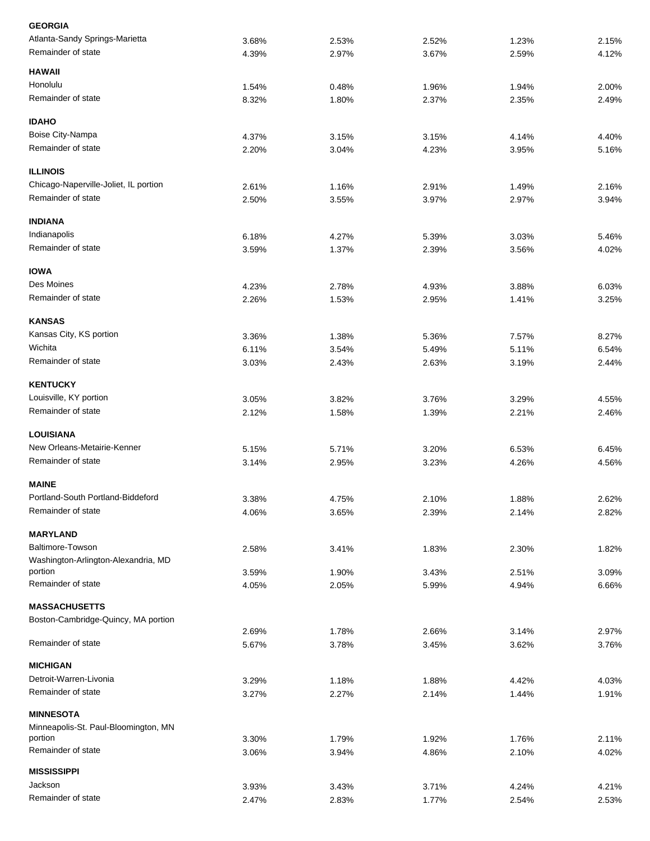| <b>GEORGIA</b>                                  |                |                |                |                |                |
|-------------------------------------------------|----------------|----------------|----------------|----------------|----------------|
| Atlanta-Sandy Springs-Marietta                  | 3.68%          | 2.53%          | 2.52%          | 1.23%          | 2.15%          |
| Remainder of state                              | 4.39%          | 2.97%          | 3.67%          | 2.59%          | 4.12%          |
| <b>HAWAII</b>                                   |                |                |                |                |                |
| Honolulu                                        | 1.54%          | 0.48%          | 1.96%          | 1.94%          | 2.00%          |
| Remainder of state                              | 8.32%          | 1.80%          | 2.37%          | 2.35%          | 2.49%          |
| <b>IDAHO</b>                                    |                |                |                |                |                |
| Boise City-Nampa                                | 4.37%          | 3.15%          | 3.15%          | 4.14%          | 4.40%          |
| Remainder of state                              | 2.20%          | 3.04%          | 4.23%          | 3.95%          | 5.16%          |
| <b>ILLINOIS</b>                                 |                |                |                |                |                |
| Chicago-Naperville-Joliet, IL portion           | 2.61%          | 1.16%          | 2.91%          | 1.49%          | 2.16%          |
| Remainder of state                              | 2.50%          | 3.55%          | 3.97%          | 2.97%          | 3.94%          |
| <b>INDIANA</b>                                  |                |                |                |                |                |
| Indianapolis                                    | 6.18%          | 4.27%          | 5.39%          | 3.03%          | 5.46%          |
| Remainder of state                              | 3.59%          | 1.37%          | 2.39%          | 3.56%          | 4.02%          |
| <b>IOWA</b>                                     |                |                |                |                |                |
| Des Moines                                      | 4.23%          | 2.78%          | 4.93%          | 3.88%          | 6.03%          |
| Remainder of state                              | 2.26%          | 1.53%          | 2.95%          | 1.41%          | 3.25%          |
| <b>KANSAS</b>                                   |                |                |                |                |                |
| Kansas City, KS portion                         |                |                |                |                |                |
| Wichita                                         | 3.36%          | 1.38%          | 5.36%          | 7.57%          | 8.27%          |
|                                                 | 6.11%          | 3.54%          | 5.49%          | 5.11%          | 6.54%          |
| Remainder of state                              | 3.03%          | 2.43%          | 2.63%          | 3.19%          | 2.44%          |
| <b>KENTUCKY</b>                                 |                |                |                |                |                |
| Louisville, KY portion                          | 3.05%          | 3.82%          | 3.76%          | 3.29%          | 4.55%          |
| Remainder of state                              | 2.12%          | 1.58%          | 1.39%          | 2.21%          | 2.46%          |
| <b>LOUISIANA</b>                                |                |                |                |                |                |
| New Orleans-Metairie-Kenner                     | 5.15%          | 5.71%          | 3.20%          | 6.53%          | 6.45%          |
| Remainder of state                              | 3.14%          | 2.95%          | 3.23%          | 4.26%          | 4.56%          |
| <b>MAINE</b>                                    |                |                |                |                |                |
| Portland-South Portland-Biddeford               | 3.38%          | 4.75%          | 2.10%          | 1.88%          | 2.62%          |
| Remainder of state                              | 4.06%          | 3.65%          | 2.39%          | 2.14%          | 2.82%          |
| <b>MARYLAND</b>                                 |                |                |                |                |                |
| Baltimore-Towson                                | 2.58%          | 3.41%          | 1.83%          | 2.30%          | 1.82%          |
| Washington-Arlington-Alexandria, MD             |                |                |                |                |                |
| portion                                         | 3.59%          | 1.90%          | 3.43%          | 2.51%          | 3.09%          |
| Remainder of state                              | 4.05%          | 2.05%          | 5.99%          | 4.94%          | 6.66%          |
| <b>MASSACHUSETTS</b>                            |                |                |                |                |                |
| Boston-Cambridge-Quincy, MA portion             |                |                |                |                |                |
| Remainder of state                              | 2.69%<br>5.67% | 1.78%<br>3.78% | 2.66%<br>3.45% | 3.14%<br>3.62% | 2.97%<br>3.76% |
| <b>MICHIGAN</b>                                 |                |                |                |                |                |
| Detroit-Warren-Livonia                          |                |                |                |                |                |
|                                                 | 3.29%          | 1.18%          | 1.88%          | 4.42%          | 4.03%          |
| Remainder of state                              | 3.27%          | 2.27%          | 2.14%          | 1.44%          | 1.91%          |
| <b>MINNESOTA</b>                                |                |                |                |                |                |
| Minneapolis-St. Paul-Bloomington, MN<br>portion | 3.30%          | 1.79%          | 1.92%          | 1.76%          | 2.11%          |
| Remainder of state                              | 3.06%          | 3.94%          | 4.86%          | 2.10%          | 4.02%          |
| <b>MISSISSIPPI</b>                              |                |                |                |                |                |
| Jackson                                         | 3.93%          | 3.43%          | 3.71%          | 4.24%          | 4.21%          |
| Remainder of state                              | 2.47%          | 2.83%          | 1.77%          | 2.54%          | 2.53%          |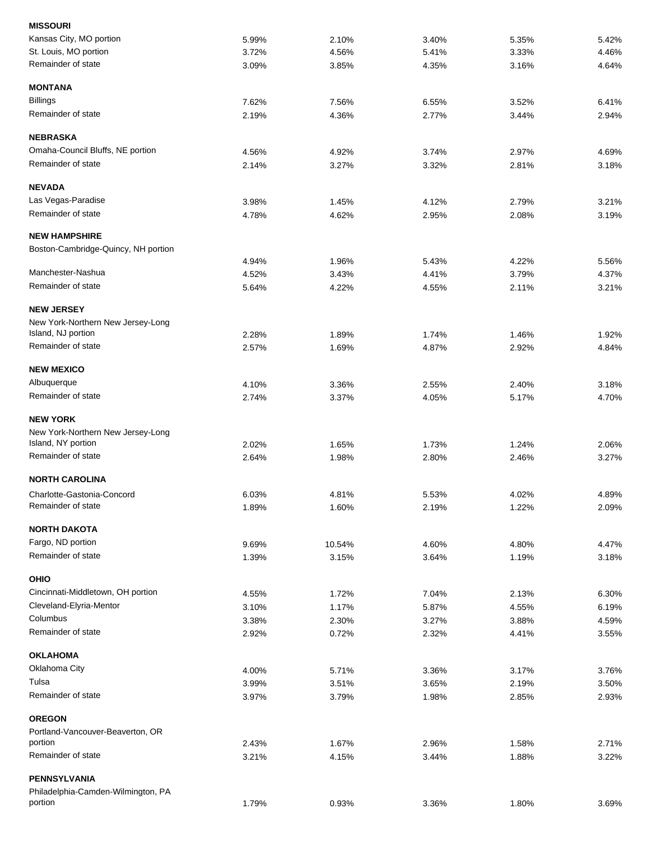| 5.99% | 2.10%                                                                                                                                                          | 3.40%                                                                                                                                                  | 5.35%                                                                                                                                                 | 5.42%                                                                                                                                                          |
|-------|----------------------------------------------------------------------------------------------------------------------------------------------------------------|--------------------------------------------------------------------------------------------------------------------------------------------------------|-------------------------------------------------------------------------------------------------------------------------------------------------------|----------------------------------------------------------------------------------------------------------------------------------------------------------------|
| 3.72% | 4.56%                                                                                                                                                          | 5.41%                                                                                                                                                  | 3.33%                                                                                                                                                 | 4.46%                                                                                                                                                          |
| 3.09% | 3.85%                                                                                                                                                          | 4.35%                                                                                                                                                  | 3.16%                                                                                                                                                 | 4.64%                                                                                                                                                          |
|       |                                                                                                                                                                |                                                                                                                                                        |                                                                                                                                                       |                                                                                                                                                                |
| 7.62% | 7.56%                                                                                                                                                          | 6.55%                                                                                                                                                  | 3.52%                                                                                                                                                 | 6.41%                                                                                                                                                          |
| 2.19% | 4.36%                                                                                                                                                          | 2.77%                                                                                                                                                  | 3.44%                                                                                                                                                 | 2.94%                                                                                                                                                          |
|       |                                                                                                                                                                |                                                                                                                                                        |                                                                                                                                                       |                                                                                                                                                                |
|       |                                                                                                                                                                |                                                                                                                                                        |                                                                                                                                                       | 4.69%                                                                                                                                                          |
| 2.14% | 3.27%                                                                                                                                                          | 3.32%                                                                                                                                                  | 2.81%                                                                                                                                                 | 3.18%                                                                                                                                                          |
|       |                                                                                                                                                                |                                                                                                                                                        |                                                                                                                                                       |                                                                                                                                                                |
|       |                                                                                                                                                                |                                                                                                                                                        |                                                                                                                                                       | 3.21%                                                                                                                                                          |
|       |                                                                                                                                                                |                                                                                                                                                        |                                                                                                                                                       | 3.19%                                                                                                                                                          |
|       |                                                                                                                                                                |                                                                                                                                                        |                                                                                                                                                       |                                                                                                                                                                |
|       |                                                                                                                                                                |                                                                                                                                                        |                                                                                                                                                       |                                                                                                                                                                |
|       |                                                                                                                                                                |                                                                                                                                                        |                                                                                                                                                       | 5.56%                                                                                                                                                          |
|       |                                                                                                                                                                |                                                                                                                                                        |                                                                                                                                                       | 4.37%                                                                                                                                                          |
| 5.64% | 4.22%                                                                                                                                                          | 4.55%                                                                                                                                                  | 2.11%                                                                                                                                                 | 3.21%                                                                                                                                                          |
|       |                                                                                                                                                                |                                                                                                                                                        |                                                                                                                                                       |                                                                                                                                                                |
|       |                                                                                                                                                                |                                                                                                                                                        |                                                                                                                                                       |                                                                                                                                                                |
| 2.28% | 1.89%                                                                                                                                                          | 1.74%                                                                                                                                                  | 1.46%                                                                                                                                                 | 1.92%                                                                                                                                                          |
| 2.57% | 1.69%                                                                                                                                                          | 4.87%                                                                                                                                                  | 2.92%                                                                                                                                                 | 4.84%                                                                                                                                                          |
|       |                                                                                                                                                                |                                                                                                                                                        |                                                                                                                                                       |                                                                                                                                                                |
|       |                                                                                                                                                                |                                                                                                                                                        |                                                                                                                                                       | 3.18%                                                                                                                                                          |
| 2.74% | 3.37%                                                                                                                                                          | 4.05%                                                                                                                                                  | 5.17%                                                                                                                                                 | 4.70%                                                                                                                                                          |
|       |                                                                                                                                                                |                                                                                                                                                        |                                                                                                                                                       |                                                                                                                                                                |
|       |                                                                                                                                                                |                                                                                                                                                        |                                                                                                                                                       |                                                                                                                                                                |
| 2.02% | 1.65%                                                                                                                                                          | 1.73%                                                                                                                                                  | 1.24%                                                                                                                                                 | 2.06%                                                                                                                                                          |
| 2.64% | 1.98%                                                                                                                                                          | 2.80%                                                                                                                                                  | 2.46%                                                                                                                                                 | 3.27%                                                                                                                                                          |
|       |                                                                                                                                                                |                                                                                                                                                        |                                                                                                                                                       |                                                                                                                                                                |
|       |                                                                                                                                                                |                                                                                                                                                        |                                                                                                                                                       | 4.89%                                                                                                                                                          |
| 1.89% | 1.60%                                                                                                                                                          | 2.19%                                                                                                                                                  | 1.22%                                                                                                                                                 | 2.09%                                                                                                                                                          |
|       |                                                                                                                                                                |                                                                                                                                                        |                                                                                                                                                       |                                                                                                                                                                |
|       |                                                                                                                                                                |                                                                                                                                                        |                                                                                                                                                       | 4.47%                                                                                                                                                          |
| 1.39% | 3.15%                                                                                                                                                          | 3.64%                                                                                                                                                  | 1.19%                                                                                                                                                 | 3.18%                                                                                                                                                          |
|       |                                                                                                                                                                |                                                                                                                                                        |                                                                                                                                                       |                                                                                                                                                                |
|       |                                                                                                                                                                |                                                                                                                                                        |                                                                                                                                                       |                                                                                                                                                                |
|       |                                                                                                                                                                |                                                                                                                                                        |                                                                                                                                                       | 6.30%                                                                                                                                                          |
|       |                                                                                                                                                                |                                                                                                                                                        |                                                                                                                                                       | 6.19%                                                                                                                                                          |
|       |                                                                                                                                                                |                                                                                                                                                        |                                                                                                                                                       | 4.59%<br>3.55%                                                                                                                                                 |
|       |                                                                                                                                                                |                                                                                                                                                        |                                                                                                                                                       |                                                                                                                                                                |
|       |                                                                                                                                                                |                                                                                                                                                        |                                                                                                                                                       |                                                                                                                                                                |
|       |                                                                                                                                                                |                                                                                                                                                        |                                                                                                                                                       | 3.76%                                                                                                                                                          |
|       |                                                                                                                                                                |                                                                                                                                                        |                                                                                                                                                       | 3.50%                                                                                                                                                          |
|       | 3.79%                                                                                                                                                          | 1.98%                                                                                                                                                  |                                                                                                                                                       | 2.93%                                                                                                                                                          |
|       |                                                                                                                                                                |                                                                                                                                                        |                                                                                                                                                       |                                                                                                                                                                |
|       |                                                                                                                                                                |                                                                                                                                                        |                                                                                                                                                       |                                                                                                                                                                |
|       |                                                                                                                                                                |                                                                                                                                                        |                                                                                                                                                       | 2.71%                                                                                                                                                          |
|       |                                                                                                                                                                |                                                                                                                                                        |                                                                                                                                                       | 3.22%                                                                                                                                                          |
|       |                                                                                                                                                                |                                                                                                                                                        |                                                                                                                                                       |                                                                                                                                                                |
|       |                                                                                                                                                                |                                                                                                                                                        |                                                                                                                                                       |                                                                                                                                                                |
|       |                                                                                                                                                                |                                                                                                                                                        |                                                                                                                                                       | 3.69%                                                                                                                                                          |
|       | 4.56%<br>3.98%<br>4.78%<br>4.94%<br>4.52%<br>4.10%<br>6.03%<br>9.69%<br>4.55%<br>3.10%<br>3.38%<br>2.92%<br>4.00%<br>3.99%<br>3.97%<br>2.43%<br>3.21%<br>1.79% | 4.92%<br>1.45%<br>4.62%<br>1.96%<br>3.43%<br>3.36%<br>4.81%<br>10.54%<br>1.72%<br>1.17%<br>2.30%<br>0.72%<br>5.71%<br>3.51%<br>1.67%<br>4.15%<br>0.93% | 3.74%<br>4.12%<br>2.95%<br>5.43%<br>4.41%<br>2.55%<br>5.53%<br>4.60%<br>7.04%<br>5.87%<br>3.27%<br>2.32%<br>3.36%<br>3.65%<br>2.96%<br>3.44%<br>3.36% | 2.97%<br>2.79%<br>2.08%<br>4.22%<br>3.79%<br>2.40%<br>4.02%<br>4.80%<br>2.13%<br>4.55%<br>3.88%<br>4.41%<br>3.17%<br>2.19%<br>2.85%<br>1.58%<br>1.88%<br>1.80% |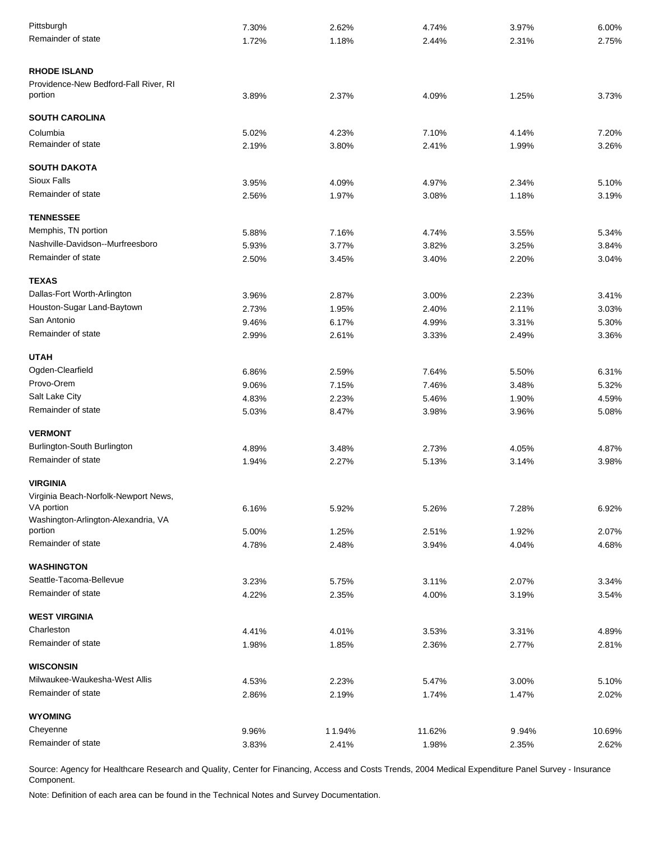| Pittsburgh                                        | 7.30% | 2.62%  | 4.74%  | 3.97% | 6.00%  |
|---------------------------------------------------|-------|--------|--------|-------|--------|
| Remainder of state                                | 1.72% | 1.18%  | 2.44%  | 2.31% | 2.75%  |
|                                                   |       |        |        |       |        |
| <b>RHODE ISLAND</b>                               |       |        |        |       |        |
| Providence-New Bedford-Fall River, RI             |       |        |        |       |        |
| portion                                           | 3.89% | 2.37%  | 4.09%  | 1.25% | 3.73%  |
| <b>SOUTH CAROLINA</b>                             |       |        |        |       |        |
| Columbia                                          | 5.02% | 4.23%  | 7.10%  | 4.14% | 7.20%  |
| Remainder of state                                | 2.19% | 3.80%  | 2.41%  | 1.99% | 3.26%  |
| <b>SOUTH DAKOTA</b>                               |       |        |        |       |        |
| <b>Sioux Falls</b>                                | 3.95% | 4.09%  | 4.97%  | 2.34% | 5.10%  |
| Remainder of state                                | 2.56% | 1.97%  | 3.08%  | 1.18% | 3.19%  |
|                                                   |       |        |        |       |        |
| <b>TENNESSEE</b>                                  |       |        |        |       |        |
| Memphis, TN portion                               | 5.88% | 7.16%  | 4.74%  | 3.55% | 5.34%  |
| Nashville-Davidson--Murfreesboro                  | 5.93% | 3.77%  | 3.82%  | 3.25% | 3.84%  |
| Remainder of state                                | 2.50% | 3.45%  | 3.40%  | 2.20% | 3.04%  |
| <b>TEXAS</b>                                      |       |        |        |       |        |
| Dallas-Fort Worth-Arlington                       | 3.96% | 2.87%  | 3.00%  | 2.23% | 3.41%  |
| Houston-Sugar Land-Baytown                        | 2.73% | 1.95%  | 2.40%  | 2.11% | 3.03%  |
| San Antonio                                       | 9.46% | 6.17%  | 4.99%  | 3.31% | 5.30%  |
| Remainder of state                                | 2.99% | 2.61%  | 3.33%  | 2.49% | 3.36%  |
|                                                   |       |        |        |       |        |
| <b>UTAH</b>                                       |       |        |        |       |        |
| Ogden-Clearfield<br>Provo-Orem                    | 6.86% | 2.59%  | 7.64%  | 5.50% | 6.31%  |
| Salt Lake City                                    | 9.06% | 7.15%  | 7.46%  | 3.48% | 5.32%  |
| Remainder of state                                | 4.83% | 2.23%  | 5.46%  | 1.90% | 4.59%  |
|                                                   | 5.03% | 8.47%  | 3.98%  | 3.96% | 5.08%  |
| <b>VERMONT</b>                                    |       |        |        |       |        |
| Burlington-South Burlington                       | 4.89% | 3.48%  | 2.73%  | 4.05% | 4.87%  |
| Remainder of state                                | 1.94% | 2.27%  | 5.13%  | 3.14% | 3.98%  |
| <b>VIRGINIA</b>                                   |       |        |        |       |        |
| Virginia Beach-Norfolk-Newport News,              |       |        |        |       |        |
| VA portion                                        | 6.16% | 5.92%  | 5.26%  | 7.28% | 6.92%  |
| Washington-Arlington-Alexandria, VA               |       |        |        |       |        |
| portion                                           | 5.00% | 1.25%  | 2.51%  | 1.92% | 2.07%  |
| Remainder of state                                | 4.78% | 2.48%  | 3.94%  | 4.04% | 4.68%  |
| <b>WASHINGTON</b>                                 |       |        |        |       |        |
| Seattle-Tacoma-Bellevue                           | 3.23% | 5.75%  | 3.11%  | 2.07% | 3.34%  |
| Remainder of state                                | 4.22% | 2.35%  | 4.00%  | 3.19% | 3.54%  |
| <b>WEST VIRGINIA</b>                              |       |        |        |       |        |
| Charleston                                        | 4.41% | 4.01%  | 3.53%  | 3.31% | 4.89%  |
| Remainder of state                                | 1.98% | 1.85%  | 2.36%  | 2.77% | 2.81%  |
|                                                   |       |        |        |       |        |
| <b>WISCONSIN</b><br>Milwaukee-Waukesha-West Allis |       |        |        |       |        |
| Remainder of state                                | 4.53% | 2.23%  | 5.47%  | 3.00% | 5.10%  |
|                                                   | 2.86% | 2.19%  | 1.74%  | 1.47% | 2.02%  |
| <b>WYOMING</b>                                    |       |        |        |       |        |
| Cheyenne                                          | 9.96% | 11.94% | 11.62% | 9.94% | 10.69% |
| Remainder of state                                | 3.83% | 2.41%  | 1.98%  | 2.35% | 2.62%  |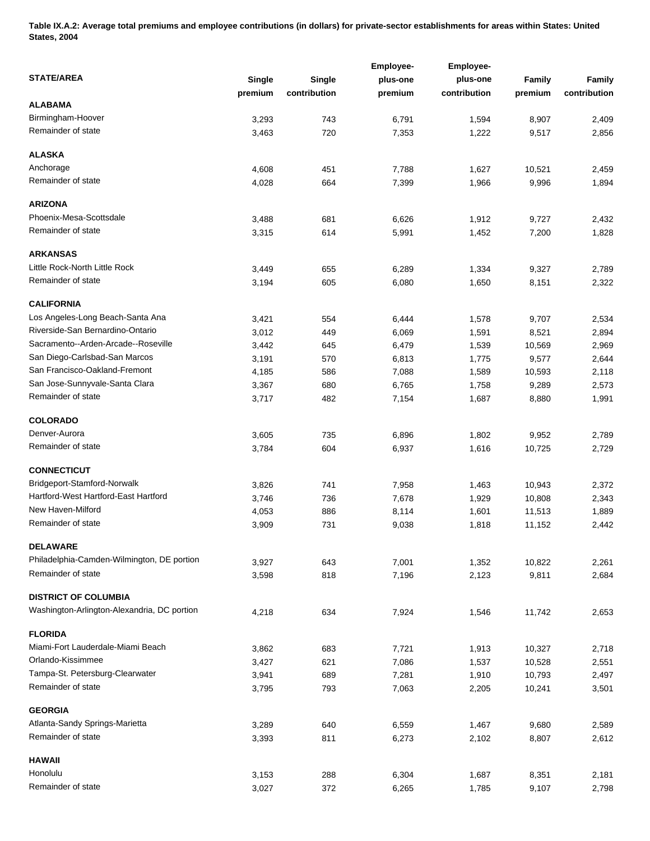**Table IX.A.2: Average total premiums and employee contributions (in dollars) for private-sector establishments for areas within States: United States, 2004** 

|                                             |         |              | <b>Employee-</b> | <b>Employee-</b> |         |              |
|---------------------------------------------|---------|--------------|------------------|------------------|---------|--------------|
| <b>STATE/AREA</b>                           | Single  | Single       | plus-one         | plus-one         | Family  | Family       |
|                                             | premium | contribution | premium          | contribution     | premium | contribution |
| ALABAMA                                     |         |              |                  |                  |         |              |
| Birmingham-Hoover                           | 3,293   | 743          | 6,791            | 1,594            | 8,907   | 2,409        |
| Remainder of state                          | 3,463   | 720          | 7,353            | 1,222            | 9,517   | 2,856        |
|                                             |         |              |                  |                  |         |              |
| <b>ALASKA</b>                               |         |              |                  |                  |         |              |
| Anchorage                                   | 4,608   | 451          | 7,788            | 1,627            | 10,521  | 2,459        |
| Remainder of state                          | 4,028   | 664          | 7,399            | 1,966            | 9,996   | 1,894        |
| <b>ARIZONA</b>                              |         |              |                  |                  |         |              |
| Phoenix-Mesa-Scottsdale                     | 3,488   | 681          | 6,626            | 1,912            | 9,727   | 2,432        |
| Remainder of state                          | 3,315   | 614          | 5,991            | 1,452            | 7,200   | 1,828        |
| <b>ARKANSAS</b>                             |         |              |                  |                  |         |              |
| Little Rock-North Little Rock               |         |              |                  |                  |         |              |
| Remainder of state                          | 3,449   | 655          | 6,289            | 1,334            | 9,327   | 2,789        |
|                                             | 3,194   | 605          | 6,080            | 1,650            | 8,151   | 2,322        |
| <b>CALIFORNIA</b>                           |         |              |                  |                  |         |              |
| Los Angeles-Long Beach-Santa Ana            | 3,421   | 554          | 6,444            | 1,578            | 9,707   | 2,534        |
| Riverside-San Bernardino-Ontario            | 3,012   | 449          | 6,069            | 1,591            | 8,521   | 2,894        |
| Sacramento--Arden-Arcade--Roseville         | 3,442   | 645          | 6,479            | 1,539            | 10,569  | 2,969        |
| San Diego-Carlsbad-San Marcos               | 3,191   | 570          | 6,813            | 1,775            | 9,577   | 2,644        |
| San Francisco-Oakland-Fremont               | 4,185   | 586          | 7,088            | 1,589            | 10,593  | 2,118        |
| San Jose-Sunnyvale-Santa Clara              | 3,367   | 680          | 6,765            | 1,758            | 9,289   | 2,573        |
| Remainder of state                          | 3,717   | 482          | 7,154            | 1,687            | 8,880   | 1,991        |
| <b>COLORADO</b>                             |         |              |                  |                  |         |              |
| Denver-Aurora                               | 3,605   | 735          | 6,896            | 1,802            | 9,952   | 2,789        |
| Remainder of state                          |         |              |                  |                  |         |              |
|                                             | 3,784   | 604          | 6,937            | 1,616            | 10,725  | 2,729        |
| <b>CONNECTICUT</b>                          |         |              |                  |                  |         |              |
| Bridgeport-Stamford-Norwalk                 | 3,826   | 741          | 7,958            | 1,463            | 10,943  | 2,372        |
| Hartford-West Hartford-East Hartford        | 3,746   | 736          | 7,678            | 1,929            | 10,808  | 2,343        |
| New Haven-Milford                           | 4,053   | 886          | 8,114            | 1,601            | 11,513  | 1,889        |
| Remainder of state                          | 3,909   | 731          | 9,038            | 1,818            | 11,152  | 2,442        |
| <b>DELAWARE</b>                             |         |              |                  |                  |         |              |
| Philadelphia-Camden-Wilmington, DE portion  | 3,927   | 643          | 7,001            | 1,352            | 10,822  | 2,261        |
| Remainder of state                          | 3,598   | 818          | 7,196            | 2,123            | 9,811   | 2,684        |
|                                             |         |              |                  |                  |         |              |
| <b>DISTRICT OF COLUMBIA</b>                 |         |              |                  |                  |         |              |
| Washington-Arlington-Alexandria, DC portion | 4,218   | 634          | 7,924            | 1,546            | 11,742  | 2,653        |
| <b>FLORIDA</b>                              |         |              |                  |                  |         |              |
| Miami-Fort Lauderdale-Miami Beach           | 3,862   | 683          | 7,721            | 1,913            | 10,327  | 2,718        |
| Orlando-Kissimmee                           | 3,427   | 621          | 7,086            | 1,537            | 10,528  | 2,551        |
| Tampa-St. Petersburg-Clearwater             | 3,941   | 689          | 7,281            | 1,910            | 10,793  | 2,497        |
| Remainder of state                          | 3,795   | 793          | 7,063            | 2,205            | 10,241  | 3,501        |
|                                             |         |              |                  |                  |         |              |
| <b>GEORGIA</b>                              |         |              |                  |                  |         |              |
| Atlanta-Sandy Springs-Marietta              | 3,289   | 640          | 6,559            | 1,467            | 9,680   | 2,589        |
| Remainder of state                          | 3,393   | 811          | 6,273            | 2,102            | 8,807   | 2,612        |
| <b>HAWAII</b>                               |         |              |                  |                  |         |              |
| Honolulu                                    | 3,153   | 288          | 6,304            | 1,687            | 8,351   | 2,181        |
| Remainder of state                          | 3,027   | 372          | 6,265            | 1,785            | 9,107   | 2,798        |
|                                             |         |              |                  |                  |         |              |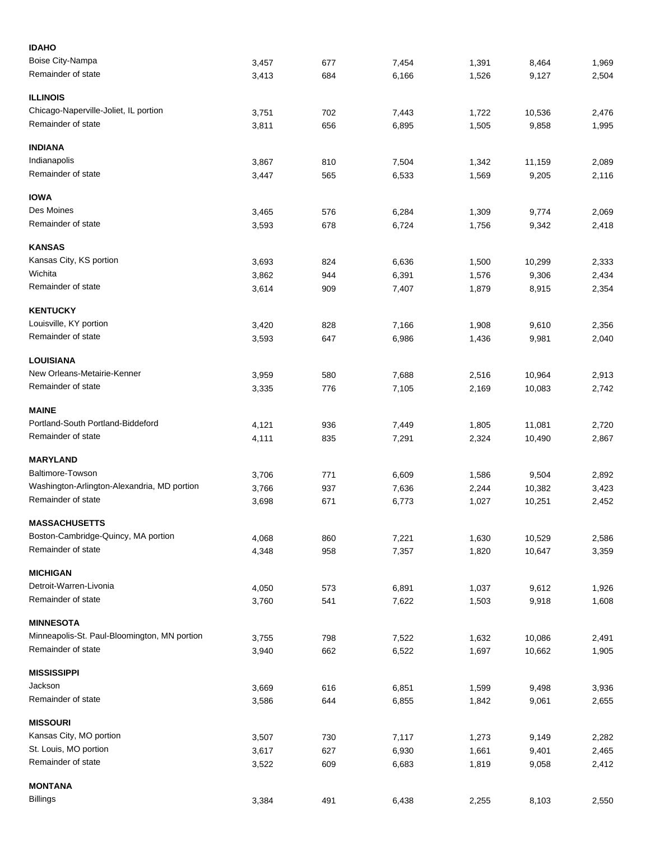| <b>IDAHO</b>                                 |       |     |       |       |        |       |
|----------------------------------------------|-------|-----|-------|-------|--------|-------|
| Boise City-Nampa                             | 3,457 | 677 | 7,454 | 1,391 | 8,464  | 1,969 |
| Remainder of state                           | 3,413 | 684 | 6,166 | 1,526 | 9,127  | 2,504 |
| <b>ILLINOIS</b>                              |       |     |       |       |        |       |
| Chicago-Naperville-Joliet, IL portion        | 3,751 | 702 | 7,443 | 1,722 | 10,536 | 2,476 |
| Remainder of state                           | 3,811 | 656 | 6,895 | 1,505 | 9,858  | 1,995 |
| <b>INDIANA</b>                               |       |     |       |       |        |       |
| Indianapolis                                 | 3,867 | 810 | 7,504 | 1,342 | 11,159 | 2,089 |
| Remainder of state                           | 3,447 | 565 | 6,533 | 1,569 | 9,205  | 2,116 |
| <b>IOWA</b>                                  |       |     |       |       |        |       |
| Des Moines                                   | 3,465 | 576 | 6,284 | 1,309 | 9,774  | 2,069 |
| Remainder of state                           | 3,593 | 678 | 6,724 | 1,756 | 9,342  | 2,418 |
| <b>KANSAS</b>                                |       |     |       |       |        |       |
| Kansas City, KS portion                      | 3,693 | 824 | 6,636 | 1,500 | 10,299 | 2,333 |
| Wichita                                      | 3,862 | 944 | 6,391 | 1,576 | 9,306  | 2,434 |
| Remainder of state                           | 3,614 | 909 | 7,407 | 1,879 | 8,915  | 2,354 |
| <b>KENTUCKY</b>                              |       |     |       |       |        |       |
| Louisville, KY portion                       | 3,420 | 828 | 7,166 | 1,908 | 9,610  | 2,356 |
| Remainder of state                           | 3,593 | 647 | 6,986 | 1,436 | 9,981  | 2,040 |
| <b>LOUISIANA</b>                             |       |     |       |       |        |       |
| New Orleans-Metairie-Kenner                  | 3,959 | 580 | 7,688 | 2,516 | 10,964 | 2,913 |
| Remainder of state                           | 3,335 | 776 | 7,105 | 2,169 | 10,083 | 2,742 |
| <b>MAINE</b>                                 |       |     |       |       |        |       |
| Portland-South Portland-Biddeford            | 4,121 | 936 | 7,449 | 1,805 | 11,081 | 2,720 |
| Remainder of state                           | 4,111 | 835 | 7,291 | 2,324 | 10,490 | 2,867 |
| <b>MARYLAND</b>                              |       |     |       |       |        |       |
| Baltimore-Towson                             | 3,706 | 771 | 6,609 | 1,586 | 9,504  | 2,892 |
| Washington-Arlington-Alexandria, MD portion  | 3,766 | 937 | 7,636 | 2,244 | 10,382 | 3,423 |
| Remainder of state                           | 3,698 | 671 | 6,773 | 1,027 | 10,251 | 2,452 |
| <b>MASSACHUSETTS</b>                         |       |     |       |       |        |       |
| Boston-Cambridge-Quincy, MA portion          | 4,068 | 860 | 7,221 | 1,630 | 10,529 | 2,586 |
| Remainder of state                           | 4,348 | 958 | 7,357 | 1,820 | 10,647 | 3,359 |
| <b>MICHIGAN</b>                              |       |     |       |       |        |       |
| Detroit-Warren-Livonia                       | 4,050 | 573 | 6,891 | 1,037 | 9,612  | 1,926 |
| Remainder of state                           | 3,760 | 541 | 7,622 | 1,503 | 9,918  | 1,608 |
| <b>MINNESOTA</b>                             |       |     |       |       |        |       |
| Minneapolis-St. Paul-Bloomington, MN portion | 3,755 | 798 | 7,522 | 1,632 | 10,086 | 2,491 |
| Remainder of state                           | 3,940 | 662 | 6,522 | 1,697 | 10,662 | 1,905 |
| <b>MISSISSIPPI</b>                           |       |     |       |       |        |       |
| Jackson                                      | 3,669 | 616 | 6,851 | 1,599 | 9,498  | 3,936 |
| Remainder of state                           | 3,586 | 644 | 6,855 | 1,842 | 9,061  | 2,655 |
| <b>MISSOURI</b>                              |       |     |       |       |        |       |
| Kansas City, MO portion                      | 3,507 | 730 | 7,117 | 1,273 | 9,149  | 2,282 |
| St. Louis, MO portion                        | 3,617 | 627 | 6,930 | 1,661 | 9,401  | 2,465 |
| Remainder of state                           | 3,522 | 609 | 6,683 | 1,819 | 9,058  | 2,412 |
| <b>MONTANA</b>                               |       |     |       |       |        |       |
| <b>Billings</b>                              | 3,384 | 491 | 6,438 | 2,255 | 8,103  | 2,550 |
|                                              |       |     |       |       |        |       |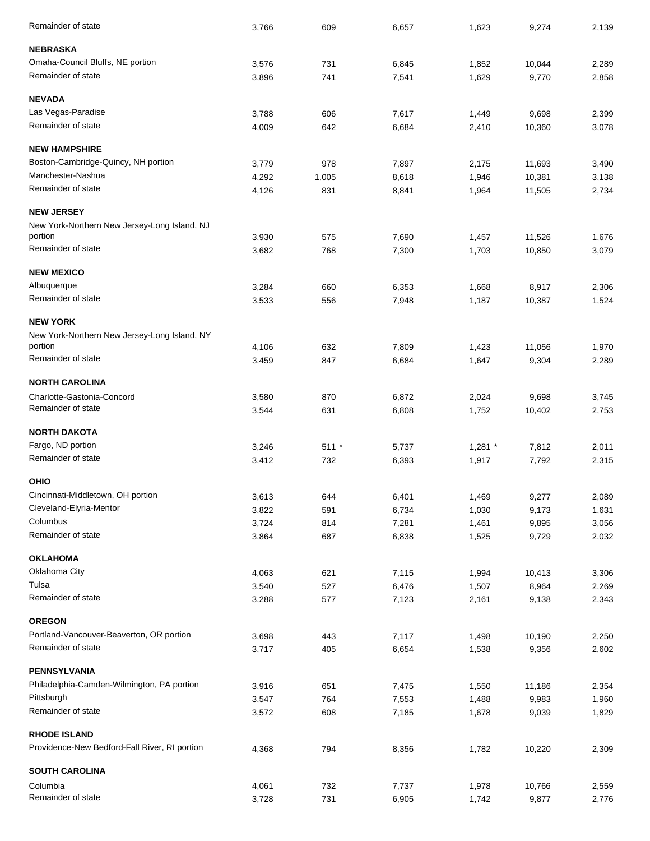| Remainder of state                            | 3,766 | 609          | 6,657 | 1,623     | 9,274            | 2,139 |
|-----------------------------------------------|-------|--------------|-------|-----------|------------------|-------|
| <b>NEBRASKA</b>                               |       |              |       |           |                  |       |
| Omaha-Council Bluffs, NE portion              | 3,576 | 731          | 6,845 | 1,852     | 10,044           | 2,289 |
| Remainder of state                            | 3,896 | 741          | 7,541 | 1,629     | 9,770            | 2,858 |
| <b>NEVADA</b>                                 |       |              |       |           |                  |       |
| Las Vegas-Paradise                            | 3,788 | 606          | 7,617 | 1,449     | 9,698            | 2,399 |
| Remainder of state                            | 4,009 | 642          | 6,684 | 2,410     | 10,360           | 3,078 |
| <b>NEW HAMPSHIRE</b>                          |       |              |       |           |                  |       |
| Boston-Cambridge-Quincy, NH portion           | 3,779 | 978          | 7,897 | 2,175     | 11,693           | 3,490 |
| Manchester-Nashua                             | 4,292 |              | 8,618 | 1,946     |                  | 3,138 |
| Remainder of state                            | 4,126 | 1,005<br>831 | 8,841 | 1,964     | 10,381<br>11,505 | 2,734 |
| <b>NEW JERSEY</b>                             |       |              |       |           |                  |       |
| New York-Northern New Jersey-Long Island, NJ  |       |              |       |           |                  |       |
| portion                                       | 3,930 | 575          | 7,690 | 1,457     | 11,526           | 1,676 |
| Remainder of state                            | 3,682 | 768          | 7,300 | 1,703     | 10,850           | 3,079 |
| <b>NEW MEXICO</b>                             |       |              |       |           |                  |       |
| Albuquerque                                   | 3,284 | 660          | 6,353 | 1,668     | 8,917            | 2,306 |
| Remainder of state                            | 3,533 | 556          | 7,948 | 1,187     | 10,387           | 1,524 |
| <b>NEW YORK</b>                               |       |              |       |           |                  |       |
| New York-Northern New Jersey-Long Island, NY  |       |              |       |           |                  |       |
| portion                                       | 4,106 | 632          | 7,809 | 1,423     | 11,056           | 1,970 |
| Remainder of state                            | 3,459 | 847          | 6,684 | 1,647     | 9,304            | 2,289 |
| <b>NORTH CAROLINA</b>                         |       |              |       |           |                  |       |
| Charlotte-Gastonia-Concord                    | 3,580 | 870          | 6,872 | 2,024     | 9,698            | 3,745 |
| Remainder of state                            | 3,544 | 631          | 6,808 | 1,752     | 10,402           | 2,753 |
| <b>NORTH DAKOTA</b>                           |       |              |       |           |                  |       |
| Fargo, ND portion                             | 3,246 | $511 *$      | 5,737 | $1,281$ * | 7,812            | 2,011 |
| Remainder of state                            | 3,412 | 732          | 6,393 | 1,917     | 7,792            | 2,315 |
| <b>OHIO</b>                                   |       |              |       |           |                  |       |
| Cincinnati-Middletown, OH portion             | 3,613 | 644          | 6,401 | 1,469     | 9,277            | 2,089 |
| Cleveland-Elyria-Mentor                       | 3,822 | 591          | 6,734 | 1,030     | 9,173            | 1,631 |
| Columbus                                      | 3,724 | 814          | 7,281 | 1,461     | 9,895            | 3,056 |
| Remainder of state                            | 3,864 | 687          | 6,838 | 1,525     | 9,729            | 2,032 |
| <b>OKLAHOMA</b>                               |       |              |       |           |                  |       |
| Oklahoma City                                 | 4,063 | 621          | 7,115 | 1,994     | 10,413           | 3,306 |
| Tulsa                                         | 3,540 | 527          | 6,476 | 1,507     | 8,964            | 2,269 |
| Remainder of state                            | 3,288 | 577          | 7,123 | 2,161     | 9,138            | 2,343 |
| <b>OREGON</b>                                 |       |              |       |           |                  |       |
| Portland-Vancouver-Beaverton, OR portion      | 3,698 | 443          | 7,117 | 1,498     | 10,190           | 2,250 |
| Remainder of state                            | 3,717 | 405          | 6,654 | 1,538     | 9,356            | 2,602 |
| <b>PENNSYLVANIA</b>                           |       |              |       |           |                  |       |
| Philadelphia-Camden-Wilmington, PA portion    | 3,916 | 651          | 7,475 | 1,550     | 11,186           | 2,354 |
| Pittsburgh                                    | 3,547 | 764          | 7,553 | 1,488     | 9,983            | 1,960 |
| Remainder of state                            | 3,572 | 608          | 7,185 | 1,678     | 9,039            | 1,829 |
| <b>RHODE ISLAND</b>                           |       |              |       |           |                  |       |
| Providence-New Bedford-Fall River, RI portion | 4,368 | 794          | 8,356 | 1,782     | 10,220           | 2,309 |
| <b>SOUTH CAROLINA</b>                         |       |              |       |           |                  |       |
| Columbia                                      | 4,061 | 732          | 7,737 | 1,978     | 10,766           | 2,559 |
| Remainder of state                            | 3,728 | 731          | 6,905 | 1,742     | 9,877            | 2,776 |
|                                               |       |              |       |           |                  |       |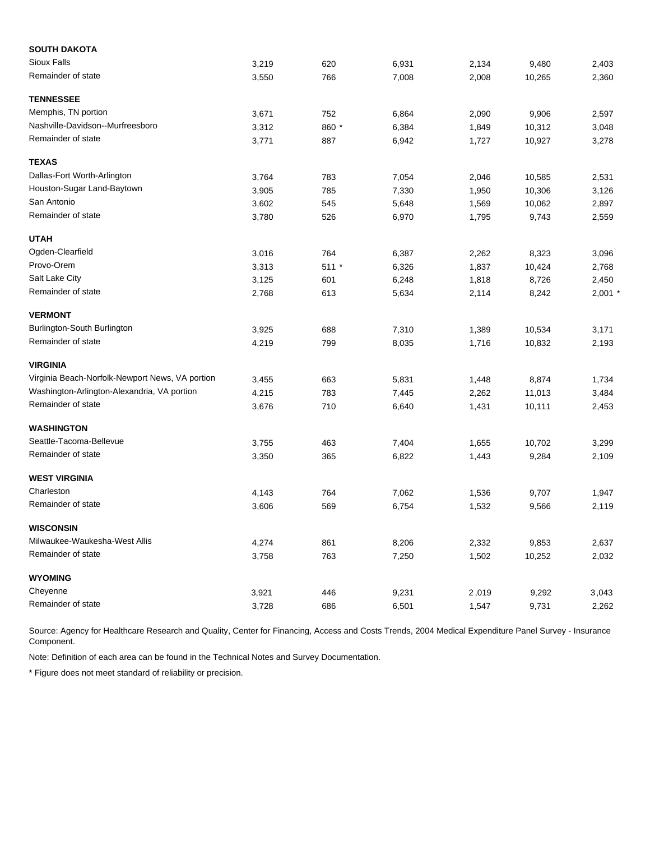| <b>SOUTH DAKOTA</b>                             |       |         |       |       |        |           |
|-------------------------------------------------|-------|---------|-------|-------|--------|-----------|
| <b>Sioux Falls</b>                              | 3,219 | 620     | 6,931 | 2,134 | 9,480  | 2,403     |
| Remainder of state                              | 3,550 | 766     | 7,008 | 2,008 | 10,265 | 2,360     |
| <b>TENNESSEE</b>                                |       |         |       |       |        |           |
| Memphis, TN portion                             | 3,671 | 752     | 6,864 | 2,090 | 9,906  | 2,597     |
| Nashville-Davidson--Murfreesboro                | 3,312 | 860 *   | 6,384 | 1,849 | 10,312 | 3,048     |
| Remainder of state                              | 3,771 | 887     | 6,942 | 1,727 | 10,927 | 3,278     |
| <b>TEXAS</b>                                    |       |         |       |       |        |           |
| Dallas-Fort Worth-Arlington                     | 3,764 | 783     | 7,054 | 2,046 | 10,585 | 2,531     |
| Houston-Sugar Land-Baytown                      | 3,905 | 785     | 7,330 | 1,950 | 10,306 | 3,126     |
| San Antonio                                     | 3,602 | 545     | 5,648 | 1,569 | 10,062 | 2,897     |
| Remainder of state                              | 3,780 | 526     | 6,970 | 1,795 | 9,743  | 2,559     |
| <b>UTAH</b>                                     |       |         |       |       |        |           |
| Ogden-Clearfield                                | 3,016 | 764     | 6,387 | 2,262 | 8,323  | 3,096     |
| Provo-Orem                                      | 3,313 | $511 *$ | 6,326 | 1,837 | 10,424 | 2,768     |
| Salt Lake City                                  | 3,125 | 601     | 6,248 | 1,818 | 8,726  | 2,450     |
| Remainder of state                              | 2,768 | 613     | 5,634 | 2,114 | 8,242  | $2,001$ * |
| <b>VERMONT</b>                                  |       |         |       |       |        |           |
| Burlington-South Burlington                     | 3,925 | 688     | 7,310 | 1,389 | 10,534 | 3,171     |
| Remainder of state                              | 4,219 | 799     | 8,035 | 1,716 | 10,832 | 2,193     |
| <b>VIRGINIA</b>                                 |       |         |       |       |        |           |
| Virginia Beach-Norfolk-Newport News, VA portion | 3,455 | 663     | 5,831 | 1,448 | 8,874  | 1,734     |
| Washington-Arlington-Alexandria, VA portion     | 4,215 | 783     | 7,445 | 2,262 | 11,013 | 3,484     |
| Remainder of state                              | 3,676 | 710     | 6,640 | 1,431 | 10,111 | 2,453     |
| <b>WASHINGTON</b>                               |       |         |       |       |        |           |
| Seattle-Tacoma-Bellevue                         | 3,755 | 463     | 7,404 | 1,655 | 10,702 | 3,299     |
| Remainder of state                              | 3,350 | 365     | 6,822 | 1,443 | 9,284  | 2,109     |
| <b>WEST VIRGINIA</b>                            |       |         |       |       |        |           |
| Charleston                                      | 4,143 | 764     | 7,062 | 1,536 | 9,707  | 1,947     |
| Remainder of state                              | 3,606 | 569     | 6,754 | 1,532 | 9,566  | 2,119     |
| <b>WISCONSIN</b>                                |       |         |       |       |        |           |
| Milwaukee-Waukesha-West Allis                   | 4,274 | 861     | 8,206 | 2,332 | 9,853  | 2,637     |
| Remainder of state                              | 3,758 | 763     | 7,250 | 1,502 | 10,252 | 2,032     |
| <b>WYOMING</b>                                  |       |         |       |       |        |           |
| Cheyenne                                        | 3,921 | 446     | 9,231 | 2,019 | 9,292  | 3,043     |
| Remainder of state                              | 3,728 | 686     | 6,501 | 1,547 | 9,731  | 2,262     |

Note: Definition of each area can be found in the Technical Notes and Survey Documentation.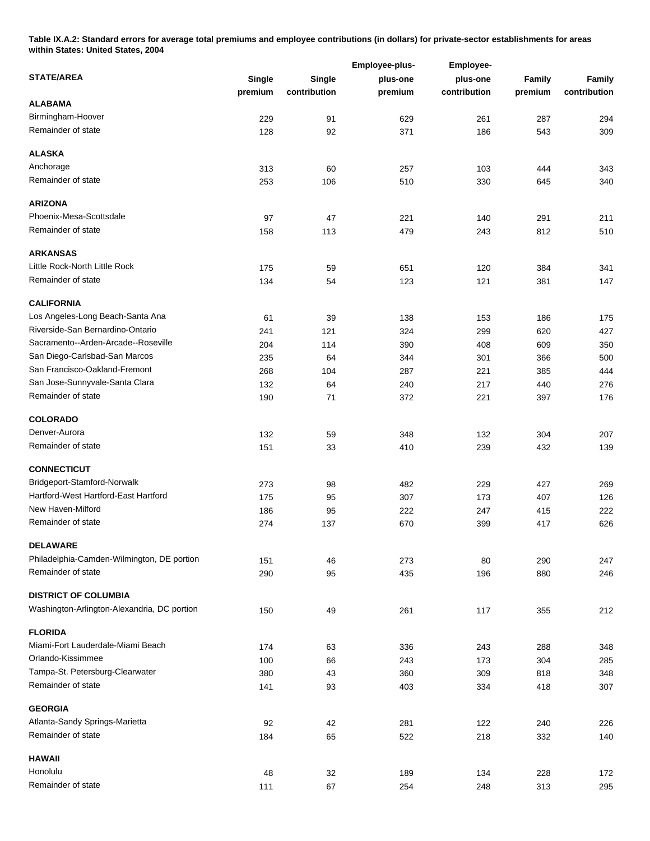**Table IX.A.2: Standard errors for average total premiums and employee contributions (in dollars) for private-sector establishments for areas within States: United States, 2004** 

|                                             |               |              | Employee-plus- | Employee-    |            |               |  |  |
|---------------------------------------------|---------------|--------------|----------------|--------------|------------|---------------|--|--|
| <b>STATE/AREA</b>                           | <b>Single</b> | Single       | plus-one       | plus-one     | Family     | <b>Family</b> |  |  |
|                                             | premium       | contribution | premium        | contribution | premium    | contribution  |  |  |
| <b>ALABAMA</b>                              |               |              |                |              |            |               |  |  |
| Birmingham-Hoover                           | 229           | 91           | 629            | 261          | 287        | 294           |  |  |
| Remainder of state                          | 128           | 92           | 371            | 186          | 543        | 309           |  |  |
| <b>ALASKA</b>                               |               |              |                |              |            |               |  |  |
| Anchorage                                   | 313           | 60           | 257            | 103          | 444        | 343           |  |  |
| Remainder of state                          | 253           | 106          | 510            | 330          | 645        | 340           |  |  |
| <b>ARIZONA</b>                              |               |              |                |              |            |               |  |  |
| Phoenix-Mesa-Scottsdale                     | 97            | 47           | 221            | 140          | 291        | 211           |  |  |
| Remainder of state                          | 158           | 113          | 479            | 243          | 812        | 510           |  |  |
| <b>ARKANSAS</b>                             |               |              |                |              |            |               |  |  |
| Little Rock-North Little Rock               | 175           | 59           | 651            | 120          | 384        | 341           |  |  |
| Remainder of state                          | 134           | 54           | 123            | 121          | 381        | 147           |  |  |
| <b>CALIFORNIA</b>                           |               |              |                |              |            |               |  |  |
| Los Angeles-Long Beach-Santa Ana            | 61            | 39           | 138            | 153          | 186        | 175           |  |  |
| Riverside-San Bernardino-Ontario            | 241           | 121          | 324            | 299          | 620        | 427           |  |  |
| Sacramento--Arden-Arcade--Roseville         | 204           | 114          | 390            | 408          | 609        | 350           |  |  |
| San Diego-Carlsbad-San Marcos               | 235           | 64           | 344            | 301          | 366        | 500           |  |  |
| San Francisco-Oakland-Fremont               | 268           | 104          | 287            | 221          | 385        | 444           |  |  |
| San Jose-Sunnyvale-Santa Clara              | 132           | 64           | 240            | 217          | 440        | 276           |  |  |
| Remainder of state                          | 190           | 71           | 372            | 221          | 397        | 176           |  |  |
| <b>COLORADO</b>                             |               |              |                |              |            |               |  |  |
| Denver-Aurora                               | 132           | 59           | 348            | 132          | 304        | 207           |  |  |
| Remainder of state                          | 151           | 33           | 410            | 239          | 432        | 139           |  |  |
| <b>CONNECTICUT</b>                          |               |              |                |              |            |               |  |  |
| Bridgeport-Stamford-Norwalk                 | 273           | 98           | 482            | 229          | 427        | 269           |  |  |
| Hartford-West Hartford-East Hartford        | 175           | 95           | 307            | 173          | 407        | 126           |  |  |
| New Haven-Milford                           | 186           | 95           | 222            | 247          | 415        | 222           |  |  |
| Remainder of state                          | 274           | 137          | 670            | 399          | 417        | 626           |  |  |
| <b>DELAWARE</b>                             |               |              |                |              |            |               |  |  |
| Philadelphia-Camden-Wilmington, DE portion  | 151           | 46           | 273            | 80           | 290        | 247           |  |  |
| Remainder of state                          | 290           | 95           | 435            | 196          | 880        | 246           |  |  |
| <b>DISTRICT OF COLUMBIA</b>                 |               |              |                |              |            |               |  |  |
| Washington-Arlington-Alexandria, DC portion | 150           | 49           | 261            | 117          | 355        | 212           |  |  |
| <b>FLORIDA</b>                              |               |              |                |              |            |               |  |  |
| Miami-Fort Lauderdale-Miami Beach           | 174           | 63           | 336            | 243          | 288        | 348           |  |  |
| Orlando-Kissimmee                           | 100           | 66           | 243            | 173          | 304        | 285           |  |  |
| Tampa-St. Petersburg-Clearwater             | 380           | 43           | 360            | 309          | 818        | 348           |  |  |
| Remainder of state                          | 141           | 93           | 403            | 334          | 418        | 307           |  |  |
| <b>GEORGIA</b>                              |               |              |                |              |            |               |  |  |
| Atlanta-Sandy Springs-Marietta              |               |              |                |              |            |               |  |  |
| Remainder of state                          | 92<br>184     | 42<br>65     | 281<br>522     | 122<br>218   | 240<br>332 | 226<br>140    |  |  |
| <b>HAWAII</b>                               |               |              |                |              |            |               |  |  |
| Honolulu                                    |               |              |                |              |            |               |  |  |
| Remainder of state                          | 48<br>111     | 32<br>67     | 189<br>254     | 134<br>248   | 228<br>313 | 172<br>295    |  |  |
|                                             |               |              |                |              |            |               |  |  |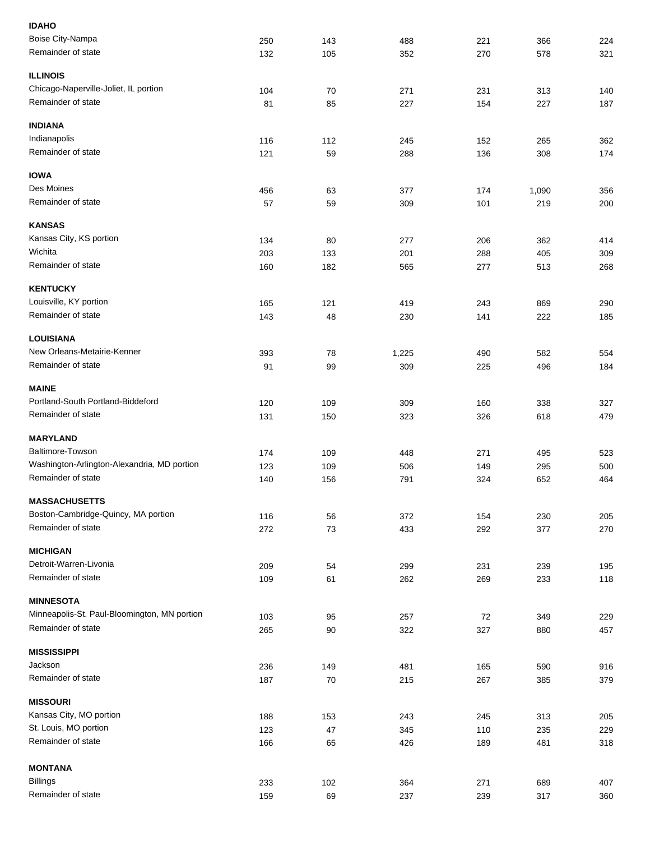| <b>IDAHO</b>                                 |     |     |       |     |       |     |
|----------------------------------------------|-----|-----|-------|-----|-------|-----|
| Boise City-Nampa                             | 250 | 143 | 488   | 221 | 366   | 224 |
| Remainder of state                           | 132 | 105 | 352   | 270 | 578   | 321 |
|                                              |     |     |       |     |       |     |
| <b>ILLINOIS</b>                              |     |     |       |     |       |     |
| Chicago-Naperville-Joliet, IL portion        | 104 | 70  | 271   | 231 | 313   | 140 |
| Remainder of state                           | 81  | 85  | 227   | 154 | 227   | 187 |
|                                              |     |     |       |     |       |     |
| <b>INDIANA</b>                               |     |     |       |     |       |     |
| Indianapolis                                 | 116 | 112 | 245   | 152 | 265   | 362 |
| Remainder of state                           | 121 | 59  | 288   | 136 | 308   | 174 |
|                                              |     |     |       |     |       |     |
| <b>IOWA</b>                                  |     |     |       |     |       |     |
| Des Moines                                   | 456 | 63  | 377   | 174 | 1,090 | 356 |
| Remainder of state                           | 57  | 59  | 309   | 101 | 219   | 200 |
| <b>KANSAS</b>                                |     |     |       |     |       |     |
|                                              |     |     |       |     |       |     |
| Kansas City, KS portion<br>Wichita           | 134 | 80  | 277   | 206 | 362   | 414 |
|                                              | 203 | 133 | 201   | 288 | 405   | 309 |
| Remainder of state                           | 160 | 182 | 565   | 277 | 513   | 268 |
| <b>KENTUCKY</b>                              |     |     |       |     |       |     |
| Louisville, KY portion                       | 165 | 121 | 419   | 243 | 869   | 290 |
| Remainder of state                           | 143 | 48  | 230   | 141 | 222   | 185 |
|                                              |     |     |       |     |       |     |
| <b>LOUISIANA</b>                             |     |     |       |     |       |     |
| New Orleans-Metairie-Kenner                  | 393 | 78  | 1,225 | 490 | 582   | 554 |
| Remainder of state                           | 91  | 99  | 309   | 225 | 496   | 184 |
|                                              |     |     |       |     |       |     |
| <b>MAINE</b>                                 |     |     |       |     |       |     |
| Portland-South Portland-Biddeford            | 120 | 109 | 309   | 160 | 338   | 327 |
| Remainder of state                           | 131 | 150 | 323   | 326 | 618   | 479 |
|                                              |     |     |       |     |       |     |
| <b>MARYLAND</b>                              |     |     |       |     |       |     |
| Baltimore-Towson                             | 174 | 109 | 448   | 271 | 495   | 523 |
| Washington-Arlington-Alexandria, MD portion  | 123 | 109 | 506   | 149 | 295   | 500 |
| Remainder of state                           | 140 | 156 | 791   | 324 | 652   | 464 |
|                                              |     |     |       |     |       |     |
| <b>MASSACHUSETTS</b>                         |     |     |       |     |       |     |
| Boston-Cambridge-Quincy, MA portion          | 116 | 56  | 372   | 154 | 230   | 205 |
| Remainder of state                           | 272 | 73  | 433   | 292 | 377   | 270 |
| <b>MICHIGAN</b>                              |     |     |       |     |       |     |
| Detroit-Warren-Livonia                       |     |     |       |     |       |     |
| Remainder of state                           | 209 | 54  | 299   | 231 | 239   | 195 |
|                                              | 109 | 61  | 262   | 269 | 233   | 118 |
| <b>MINNESOTA</b>                             |     |     |       |     |       |     |
| Minneapolis-St. Paul-Bloomington, MN portion | 103 | 95  | 257   | 72  | 349   | 229 |
| Remainder of state                           | 265 | 90  | 322   | 327 | 880   | 457 |
|                                              |     |     |       |     |       |     |
| <b>MISSISSIPPI</b>                           |     |     |       |     |       |     |
| Jackson                                      | 236 | 149 | 481   | 165 | 590   | 916 |
| Remainder of state                           | 187 | 70  | 215   | 267 | 385   | 379 |
|                                              |     |     |       |     |       |     |
| <b>MISSOURI</b>                              |     |     |       |     |       |     |
| Kansas City, MO portion                      | 188 | 153 | 243   | 245 | 313   | 205 |
| St. Louis, MO portion                        | 123 | 47  | 345   | 110 | 235   | 229 |
| Remainder of state                           | 166 | 65  | 426   | 189 | 481   | 318 |
|                                              |     |     |       |     |       |     |
| <b>MONTANA</b>                               |     |     |       |     |       |     |
| <b>Billings</b>                              | 233 | 102 | 364   | 271 | 689   | 407 |
| Remainder of state                           | 159 | 69  | 237   | 239 | 317   | 360 |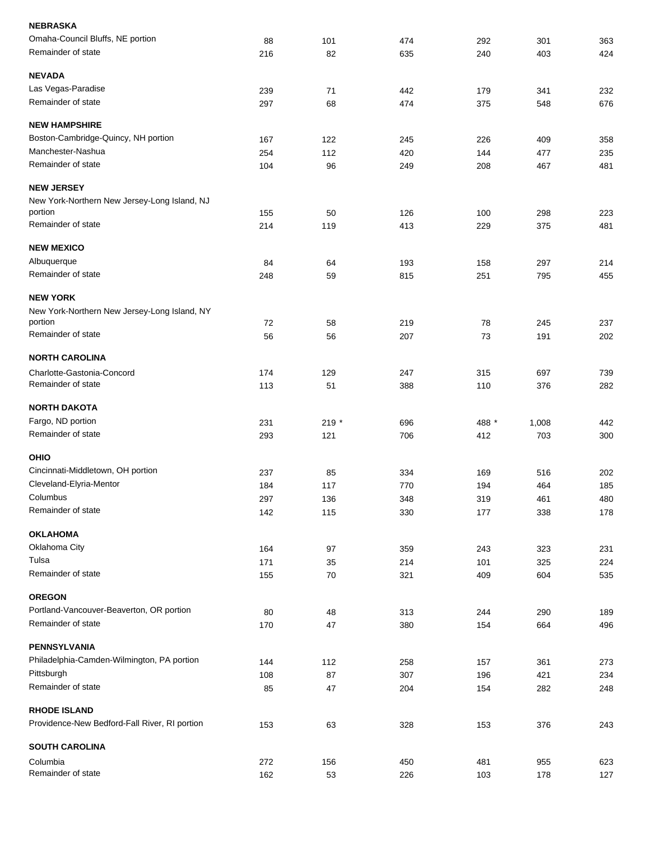| <b>NEBRASKA</b>                               |     |       |     |       |       |     |
|-----------------------------------------------|-----|-------|-----|-------|-------|-----|
| Omaha-Council Bluffs, NE portion              | 88  | 101   | 474 | 292   | 301   | 363 |
| Remainder of state                            | 216 | 82    | 635 | 240   | 403   | 424 |
| <b>NEVADA</b>                                 |     |       |     |       |       |     |
| Las Vegas-Paradise                            | 239 | 71    | 442 | 179   | 341   | 232 |
| Remainder of state                            | 297 | 68    | 474 | 375   | 548   | 676 |
| <b>NEW HAMPSHIRE</b>                          |     |       |     |       |       |     |
| Boston-Cambridge-Quincy, NH portion           | 167 | 122   | 245 | 226   | 409   | 358 |
| Manchester-Nashua                             | 254 | 112   | 420 | 144   | 477   | 235 |
| Remainder of state                            | 104 | 96    | 249 | 208   | 467   | 481 |
| <b>NEW JERSEY</b>                             |     |       |     |       |       |     |
| New York-Northern New Jersey-Long Island, NJ  |     |       |     |       |       |     |
| portion                                       | 155 | 50    | 126 | 100   | 298   | 223 |
| Remainder of state                            | 214 | 119   | 413 | 229   | 375   | 481 |
| <b>NEW MEXICO</b>                             |     |       |     |       |       |     |
| Albuquerque                                   | 84  | 64    | 193 | 158   | 297   | 214 |
| Remainder of state                            | 248 | 59    | 815 | 251   | 795   | 455 |
| <b>NEW YORK</b>                               |     |       |     |       |       |     |
| New York-Northern New Jersey-Long Island, NY  |     |       |     |       |       |     |
| portion                                       | 72  | 58    | 219 | 78    | 245   | 237 |
| Remainder of state                            | 56  | 56    | 207 | 73    | 191   | 202 |
| <b>NORTH CAROLINA</b>                         |     |       |     |       |       |     |
| Charlotte-Gastonia-Concord                    | 174 | 129   | 247 | 315   | 697   | 739 |
| Remainder of state                            | 113 | 51    | 388 | 110   | 376   | 282 |
| <b>NORTH DAKOTA</b>                           |     |       |     |       |       |     |
| Fargo, ND portion                             | 231 | 219 * | 696 | 488 * | 1,008 | 442 |
| Remainder of state                            | 293 | 121   | 706 | 412   | 703   | 300 |
| <b>OHIO</b>                                   |     |       |     |       |       |     |
| Cincinnati-Middletown, OH portion             | 237 | 85    | 334 | 169   | 516   | 202 |
| Cleveland-Elyria-Mentor                       | 184 | 117   | 770 | 194   | 464   | 185 |
| Columbus                                      | 297 | 136   | 348 | 319   | 461   | 480 |
| Remainder of state                            | 142 | 115   | 330 | 177   | 338   | 178 |
| <b>OKLAHOMA</b>                               |     |       |     |       |       |     |
| Oklahoma City                                 | 164 | 97    | 359 | 243   | 323   | 231 |
| Tulsa                                         | 171 | 35    | 214 | 101   | 325   | 224 |
| Remainder of state                            | 155 | 70    | 321 | 409   | 604   | 535 |
| <b>OREGON</b>                                 |     |       |     |       |       |     |
| Portland-Vancouver-Beaverton, OR portion      | 80  | 48    | 313 | 244   | 290   | 189 |
| Remainder of state                            | 170 | 47    | 380 | 154   | 664   | 496 |
| <b>PENNSYLVANIA</b>                           |     |       |     |       |       |     |
| Philadelphia-Camden-Wilmington, PA portion    | 144 | 112   | 258 | 157   | 361   | 273 |
| Pittsburgh                                    | 108 | 87    | 307 | 196   | 421   | 234 |
| Remainder of state                            | 85  | 47    | 204 | 154   | 282   | 248 |
| <b>RHODE ISLAND</b>                           |     |       |     |       |       |     |
| Providence-New Bedford-Fall River, RI portion | 153 | 63    | 328 | 153   | 376   | 243 |
| <b>SOUTH CAROLINA</b>                         |     |       |     |       |       |     |
| Columbia                                      | 272 | 156   | 450 | 481   | 955   | 623 |
| Remainder of state                            | 162 | 53    | 226 |       | 178   | 127 |
|                                               |     |       |     | 103   |       |     |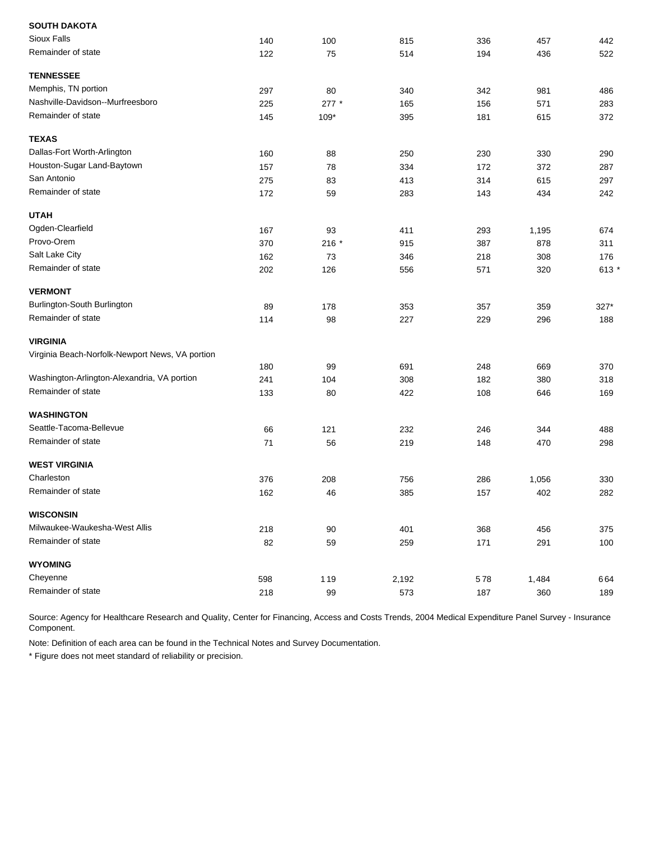| 140 | 100     | 815   | 336 | 457   | 442     |
|-----|---------|-------|-----|-------|---------|
| 122 | 75      | 514   | 194 | 436   | 522     |
|     |         |       |     |       |         |
| 297 | 80      | 340   | 342 | 981   | 486     |
| 225 | $277 *$ | 165   | 156 | 571   | 283     |
| 145 | $109*$  | 395   | 181 | 615   | 372     |
|     |         |       |     |       |         |
| 160 | 88      | 250   | 230 | 330   | 290     |
| 157 | 78      | 334   | 172 | 372   | 287     |
| 275 | 83      | 413   | 314 | 615   | 297     |
| 172 | 59      | 283   | 143 | 434   | 242     |
|     |         |       |     |       |         |
| 167 | 93      | 411   | 293 | 1,195 | 674     |
| 370 | $216 *$ | 915   | 387 | 878   | 311     |
| 162 | 73      | 346   | 218 | 308   | 176     |
| 202 | 126     | 556   | 571 | 320   | 613 $*$ |
|     |         |       |     |       |         |
| 89  | 178     | 353   | 357 | 359   | 327*    |
| 114 | 98      | 227   | 229 | 296   | 188     |
|     |         |       |     |       |         |
|     |         |       |     |       |         |
|     | 99      |       | 248 | 669   | 370     |
| 241 | 104     | 308   | 182 | 380   | 318     |
| 133 | 80      | 422   | 108 | 646   | 169     |
|     |         |       |     |       |         |
| 66  | 121     | 232   | 246 | 344   | 488     |
| 71  | 56      | 219   | 148 | 470   | 298     |
|     |         |       |     |       |         |
| 376 | 208     | 756   | 286 | 1,056 | 330     |
| 162 | 46      | 385   | 157 | 402   | 282     |
|     |         |       |     |       |         |
| 218 | 90      | 401   | 368 | 456   | 375     |
| 82  | 59      | 259   | 171 | 291   | 100     |
|     |         |       |     |       |         |
| 598 | 119     | 2,192 | 578 | 1,484 | 664     |
| 218 | 99      | 573   | 187 | 360   | 189     |
|     | 180     |       | 691 |       |         |

Note: Definition of each area can be found in the Technical Notes and Survey Documentation.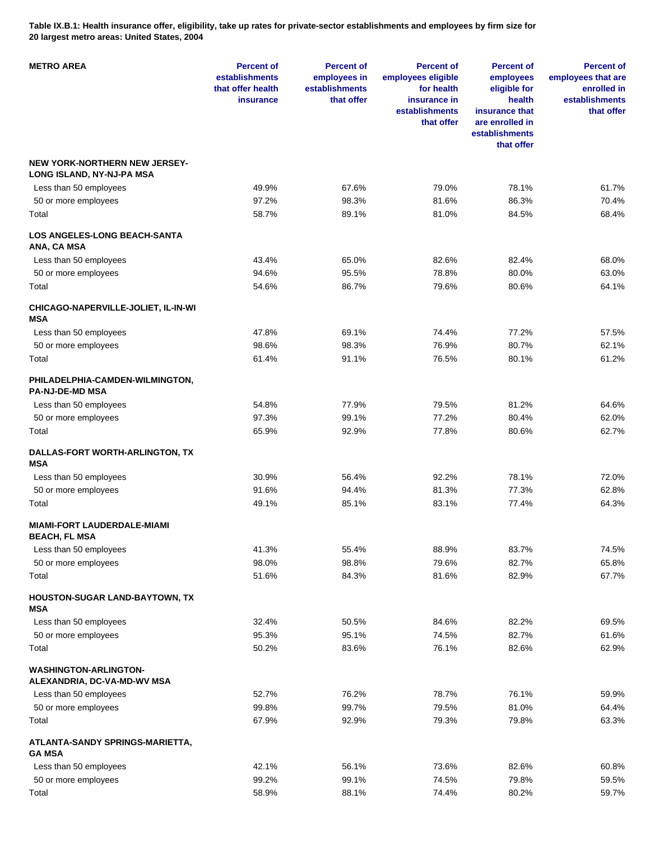**Table IX.B.1: Health insurance offer, eligibility, take up rates for private-sector establishments and employees by firm size for 20 largest metro areas: United States, 2004** 

| <b>METRO AREA</b>                                                 | <b>Percent of</b><br>establishments<br>that offer health<br><b>insurance</b> | <b>Percent of</b><br>employees in<br>establishments<br>that offer | <b>Percent of</b><br>employees eligible<br>for health<br>insurance in<br>establishments<br>that offer | <b>Percent of</b><br>employees<br>eligible for<br>health<br>insurance that<br>are enrolled in<br>establishments<br>that offer | <b>Percent of</b><br>employees that are<br>enrolled in<br>establishments<br>that offer |
|-------------------------------------------------------------------|------------------------------------------------------------------------------|-------------------------------------------------------------------|-------------------------------------------------------------------------------------------------------|-------------------------------------------------------------------------------------------------------------------------------|----------------------------------------------------------------------------------------|
| <b>NEW YORK-NORTHERN NEW JERSEY-</b><br>LONG ISLAND, NY-NJ-PA MSA |                                                                              |                                                                   |                                                                                                       |                                                                                                                               |                                                                                        |
| Less than 50 employees                                            | 49.9%                                                                        | 67.6%                                                             | 79.0%                                                                                                 | 78.1%                                                                                                                         | 61.7%                                                                                  |
| 50 or more employees                                              | 97.2%                                                                        | 98.3%                                                             | 81.6%                                                                                                 | 86.3%                                                                                                                         | 70.4%                                                                                  |
| Total                                                             | 58.7%                                                                        | 89.1%                                                             | 81.0%                                                                                                 | 84.5%                                                                                                                         | 68.4%                                                                                  |
| <b>LOS ANGELES-LONG BEACH-SANTA</b><br>ANA, CA MSA                |                                                                              |                                                                   |                                                                                                       |                                                                                                                               |                                                                                        |
| Less than 50 employees                                            | 43.4%                                                                        | 65.0%                                                             | 82.6%                                                                                                 | 82.4%                                                                                                                         | 68.0%                                                                                  |
| 50 or more employees                                              | 94.6%                                                                        | 95.5%                                                             | 78.8%                                                                                                 | 80.0%                                                                                                                         | 63.0%                                                                                  |
| Total                                                             | 54.6%                                                                        | 86.7%                                                             | 79.6%                                                                                                 | 80.6%                                                                                                                         | 64.1%                                                                                  |
| CHICAGO-NAPERVILLE-JOLIET, IL-IN-WI<br><b>MSA</b>                 |                                                                              |                                                                   |                                                                                                       |                                                                                                                               |                                                                                        |
| Less than 50 employees                                            | 47.8%                                                                        | 69.1%                                                             | 74.4%                                                                                                 | 77.2%                                                                                                                         | 57.5%                                                                                  |
| 50 or more employees                                              | 98.6%                                                                        | 98.3%                                                             | 76.9%                                                                                                 | 80.7%                                                                                                                         | 62.1%                                                                                  |
| Total                                                             | 61.4%                                                                        | 91.1%                                                             | 76.5%                                                                                                 | 80.1%                                                                                                                         | 61.2%                                                                                  |
| PHILADELPHIA-CAMDEN-WILMINGTON,<br><b>PA-NJ-DE-MD MSA</b>         |                                                                              |                                                                   |                                                                                                       |                                                                                                                               |                                                                                        |
| Less than 50 employees                                            | 54.8%                                                                        | 77.9%                                                             | 79.5%                                                                                                 | 81.2%                                                                                                                         | 64.6%                                                                                  |
| 50 or more employees                                              | 97.3%                                                                        | 99.1%                                                             | 77.2%                                                                                                 | 80.4%                                                                                                                         | 62.0%                                                                                  |
| Total                                                             | 65.9%                                                                        | 92.9%                                                             | 77.8%                                                                                                 | 80.6%                                                                                                                         | 62.7%                                                                                  |
| DALLAS-FORT WORTH-ARLINGTON, TX<br><b>MSA</b>                     |                                                                              |                                                                   |                                                                                                       |                                                                                                                               |                                                                                        |
| Less than 50 employees                                            | 30.9%                                                                        | 56.4%                                                             | 92.2%                                                                                                 | 78.1%                                                                                                                         | 72.0%                                                                                  |
| 50 or more employees                                              | 91.6%                                                                        | 94.4%                                                             | 81.3%                                                                                                 | 77.3%                                                                                                                         | 62.8%                                                                                  |
| Total                                                             | 49.1%                                                                        | 85.1%                                                             | 83.1%                                                                                                 | 77.4%                                                                                                                         | 64.3%                                                                                  |
| <b>MIAMI-FORT LAUDERDALE-MIAMI</b><br>BEACH, FL MSA               |                                                                              |                                                                   |                                                                                                       |                                                                                                                               |                                                                                        |
| Less than 50 employees                                            | 41.3%                                                                        | 55.4%                                                             | 88.9%                                                                                                 | 83.7%                                                                                                                         | 74.5%                                                                                  |
| 50 or more employees                                              | 98.0%                                                                        | 98.8%                                                             | 79.6%                                                                                                 | 82.7%                                                                                                                         | 65.8%                                                                                  |
| Total                                                             | 51.6%                                                                        | 84.3%                                                             | 81.6%                                                                                                 | 82.9%                                                                                                                         | 67.7%                                                                                  |
| HOUSTON-SUGAR LAND-BAYTOWN, TX<br><b>MSA</b>                      |                                                                              |                                                                   |                                                                                                       |                                                                                                                               |                                                                                        |
| Less than 50 employees                                            | 32.4%                                                                        | 50.5%                                                             | 84.6%                                                                                                 | 82.2%                                                                                                                         | 69.5%                                                                                  |
| 50 or more employees                                              | 95.3%                                                                        | 95.1%                                                             | 74.5%                                                                                                 | 82.7%                                                                                                                         | 61.6%                                                                                  |
| Total                                                             | 50.2%                                                                        | 83.6%                                                             | 76.1%                                                                                                 | 82.6%                                                                                                                         | 62.9%                                                                                  |
| <b>WASHINGTON-ARLINGTON-</b><br>ALEXANDRIA, DC-VA-MD-WV MSA       |                                                                              |                                                                   |                                                                                                       |                                                                                                                               |                                                                                        |
| Less than 50 employees                                            | 52.7%                                                                        | 76.2%                                                             | 78.7%                                                                                                 | 76.1%                                                                                                                         | 59.9%                                                                                  |
| 50 or more employees                                              | 99.8%                                                                        | 99.7%                                                             | 79.5%                                                                                                 | 81.0%                                                                                                                         | 64.4%                                                                                  |
| Total                                                             | 67.9%                                                                        | 92.9%                                                             | 79.3%                                                                                                 | 79.8%                                                                                                                         | 63.3%                                                                                  |
| ATLANTA-SANDY SPRINGS-MARIETTA,<br><b>GA MSA</b>                  |                                                                              |                                                                   |                                                                                                       |                                                                                                                               |                                                                                        |
| Less than 50 employees                                            | 42.1%                                                                        | 56.1%                                                             | 73.6%                                                                                                 | 82.6%                                                                                                                         | 60.8%                                                                                  |
| 50 or more employees                                              | 99.2%                                                                        | 99.1%                                                             | 74.5%                                                                                                 | 79.8%                                                                                                                         | 59.5%                                                                                  |
| Total                                                             | 58.9%                                                                        | 88.1%                                                             | 74.4%                                                                                                 | 80.2%                                                                                                                         | 59.7%                                                                                  |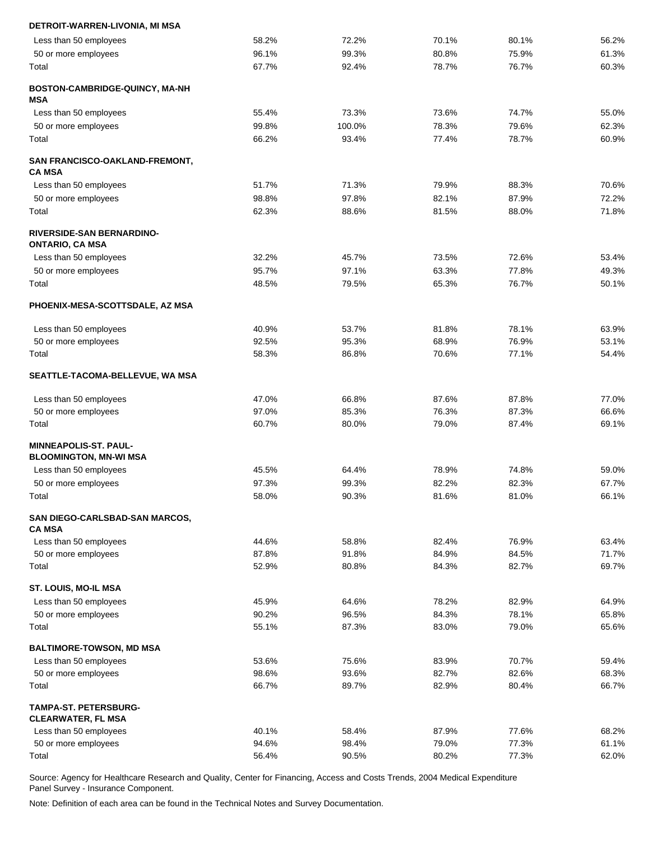| DETROIT-WARREN-LIVONIA, MI MSA                                |       |        |       |       |       |
|---------------------------------------------------------------|-------|--------|-------|-------|-------|
| Less than 50 employees                                        | 58.2% | 72.2%  | 70.1% | 80.1% | 56.2% |
| 50 or more employees                                          | 96.1% | 99.3%  | 80.8% | 75.9% | 61.3% |
| Total                                                         | 67.7% | 92.4%  | 78.7% | 76.7% | 60.3% |
| BOSTON-CAMBRIDGE-QUINCY, MA-NH<br>MSA                         |       |        |       |       |       |
| Less than 50 employees                                        | 55.4% | 73.3%  | 73.6% | 74.7% | 55.0% |
| 50 or more employees                                          | 99.8% | 100.0% | 78.3% | 79.6% | 62.3% |
| Total                                                         | 66.2% | 93.4%  | 77.4% | 78.7% | 60.9% |
| SAN FRANCISCO-OAKLAND-FREMONT,<br><b>CA MSA</b>               |       |        |       |       |       |
| Less than 50 employees                                        | 51.7% | 71.3%  | 79.9% | 88.3% | 70.6% |
| 50 or more employees                                          | 98.8% | 97.8%  | 82.1% | 87.9% | 72.2% |
| Total                                                         | 62.3% | 88.6%  | 81.5% | 88.0% | 71.8% |
| <b>RIVERSIDE-SAN BERNARDINO-</b><br><b>ONTARIO, CA MSA</b>    |       |        |       |       |       |
| Less than 50 employees                                        | 32.2% | 45.7%  | 73.5% | 72.6% | 53.4% |
| 50 or more employees                                          | 95.7% | 97.1%  | 63.3% | 77.8% | 49.3% |
| Total                                                         | 48.5% | 79.5%  | 65.3% | 76.7% | 50.1% |
| PHOENIX-MESA-SCOTTSDALE, AZ MSA                               |       |        |       |       |       |
| Less than 50 employees                                        | 40.9% | 53.7%  | 81.8% | 78.1% | 63.9% |
| 50 or more employees                                          | 92.5% | 95.3%  | 68.9% | 76.9% | 53.1% |
| Total                                                         | 58.3% | 86.8%  | 70.6% | 77.1% | 54.4% |
| SEATTLE-TACOMA-BELLEVUE, WA MSA                               |       |        |       |       |       |
| Less than 50 employees                                        | 47.0% | 66.8%  | 87.6% | 87.8% | 77.0% |
| 50 or more employees                                          | 97.0% | 85.3%  | 76.3% | 87.3% | 66.6% |
| Total                                                         | 60.7% | 80.0%  | 79.0% | 87.4% | 69.1% |
| <b>MINNEAPOLIS-ST. PAUL-</b><br><b>BLOOMINGTON, MN-WI MSA</b> |       |        |       |       |       |
| Less than 50 employees                                        | 45.5% | 64.4%  | 78.9% | 74.8% | 59.0% |
| 50 or more employees                                          | 97.3% | 99.3%  | 82.2% | 82.3% | 67.7% |
| Total                                                         | 58.0% | 90.3%  | 81.6% | 81.0% | 66.1% |
| SAN DIEGO-CARLSBAD-SAN MARCOS,                                |       |        |       |       |       |
| <b>CA MSA</b>                                                 |       |        |       |       |       |
| Less than 50 employees                                        | 44.6% | 58.8%  | 82.4% | 76.9% | 63.4% |
| 50 or more employees                                          | 87.8% | 91.8%  | 84.9% | 84.5% | 71.7% |
| Total                                                         | 52.9% | 80.8%  | 84.3% | 82.7% | 69.7% |
| <b>ST. LOUIS, MO-IL MSA</b>                                   |       |        |       |       |       |
| Less than 50 employees                                        | 45.9% | 64.6%  | 78.2% | 82.9% | 64.9% |
| 50 or more employees                                          | 90.2% | 96.5%  | 84.3% | 78.1% | 65.8% |
| Total                                                         | 55.1% | 87.3%  | 83.0% | 79.0% | 65.6% |
| <b>BALTIMORE-TOWSON, MD MSA</b>                               |       |        |       |       |       |
| Less than 50 employees                                        | 53.6% | 75.6%  | 83.9% | 70.7% | 59.4% |
| 50 or more employees                                          | 98.6% | 93.6%  | 82.7% | 82.6% | 68.3% |
| Total                                                         | 66.7% | 89.7%  | 82.9% | 80.4% | 66.7% |
| <b>TAMPA-ST. PETERSBURG-</b><br><b>CLEARWATER, FL MSA</b>     |       |        |       |       |       |
| Less than 50 employees                                        | 40.1% | 58.4%  | 87.9% | 77.6% | 68.2% |
| 50 or more employees                                          | 94.6% | 98.4%  | 79.0% | 77.3% | 61.1% |
| Total                                                         | 56.4% | 90.5%  | 80.2% | 77.3% | 62.0% |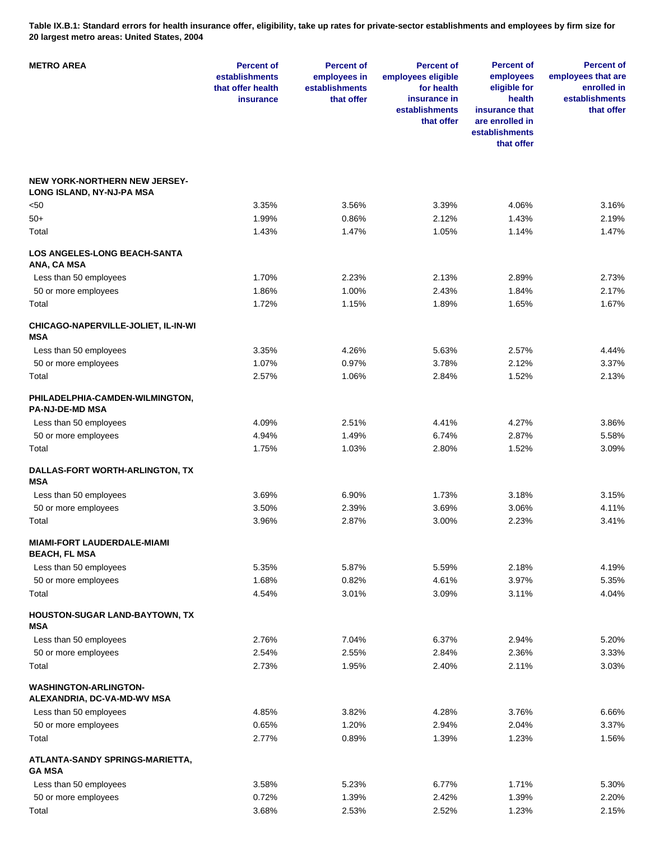**Table IX.B.1: Standard errors for health insurance offer, eligibility, take up rates for private-sector establishments and employees by firm size for 20 largest metro areas: United States, 2004** 

| <b>METRO AREA</b>                                                 | <b>Percent of</b><br>establishments<br>that offer health<br>insurance | <b>Percent of</b><br>employees in<br>establishments<br>that offer | <b>Percent of</b><br>employees eligible<br>for health<br>insurance in<br>establishments<br>that offer | <b>Percent of</b><br>employees<br>eligible for<br>health<br>insurance that<br>are enrolled in<br>establishments<br>that offer | <b>Percent of</b><br>employees that are<br>enrolled in<br>establishments<br>that offer |
|-------------------------------------------------------------------|-----------------------------------------------------------------------|-------------------------------------------------------------------|-------------------------------------------------------------------------------------------------------|-------------------------------------------------------------------------------------------------------------------------------|----------------------------------------------------------------------------------------|
| <b>NEW YORK-NORTHERN NEW JERSEY-</b><br>LONG ISLAND, NY-NJ-PA MSA |                                                                       |                                                                   |                                                                                                       |                                                                                                                               |                                                                                        |
| <50                                                               | 3.35%                                                                 | 3.56%                                                             | 3.39%                                                                                                 | 4.06%                                                                                                                         | 3.16%                                                                                  |
| 50+                                                               | 1.99%                                                                 | 0.86%                                                             | 2.12%                                                                                                 | 1.43%                                                                                                                         | 2.19%                                                                                  |
| Total                                                             | 1.43%                                                                 | 1.47%                                                             | 1.05%                                                                                                 | 1.14%                                                                                                                         | 1.47%                                                                                  |
| <b>LOS ANGELES-LONG BEACH-SANTA</b><br>ANA, CA MSA                |                                                                       |                                                                   |                                                                                                       |                                                                                                                               |                                                                                        |
| Less than 50 employees                                            | 1.70%                                                                 | 2.23%                                                             | 2.13%                                                                                                 | 2.89%                                                                                                                         | 2.73%                                                                                  |
| 50 or more employees                                              | 1.86%                                                                 | 1.00%                                                             | 2.43%                                                                                                 | 1.84%                                                                                                                         | 2.17%                                                                                  |
| Total                                                             | 1.72%                                                                 | 1.15%                                                             | 1.89%                                                                                                 | 1.65%                                                                                                                         | 1.67%                                                                                  |
| CHICAGO-NAPERVILLE-JOLIET, IL-IN-WI<br><b>MSA</b>                 |                                                                       |                                                                   |                                                                                                       |                                                                                                                               |                                                                                        |
| Less than 50 employees                                            | 3.35%                                                                 | 4.26%                                                             | 5.63%                                                                                                 | 2.57%                                                                                                                         | 4.44%                                                                                  |
| 50 or more employees                                              | 1.07%                                                                 | 0.97%                                                             | 3.78%                                                                                                 | 2.12%                                                                                                                         | 3.37%                                                                                  |
| Total                                                             | 2.57%                                                                 | 1.06%                                                             | 2.84%                                                                                                 | 1.52%                                                                                                                         | 2.13%                                                                                  |
| PHILADELPHIA-CAMDEN-WILMINGTON,<br><b>PA-NJ-DE-MD MSA</b>         |                                                                       |                                                                   |                                                                                                       |                                                                                                                               |                                                                                        |
| Less than 50 employees                                            | 4.09%                                                                 | 2.51%                                                             | 4.41%                                                                                                 | 4.27%                                                                                                                         | 3.86%                                                                                  |
| 50 or more employees                                              | 4.94%                                                                 | 1.49%                                                             | 6.74%                                                                                                 | 2.87%                                                                                                                         | 5.58%                                                                                  |
| Total                                                             | 1.75%                                                                 | 1.03%                                                             | 2.80%                                                                                                 | 1.52%                                                                                                                         | 3.09%                                                                                  |
| DALLAS-FORT WORTH-ARLINGTON, TX<br><b>MSA</b>                     |                                                                       |                                                                   |                                                                                                       |                                                                                                                               |                                                                                        |
| Less than 50 employees                                            | 3.69%                                                                 | 6.90%                                                             | 1.73%                                                                                                 | 3.18%                                                                                                                         | 3.15%                                                                                  |
| 50 or more employees                                              | 3.50%                                                                 | 2.39%                                                             | 3.69%                                                                                                 | 3.06%                                                                                                                         | 4.11%                                                                                  |
| Total                                                             | 3.96%                                                                 | 2.87%                                                             | 3.00%                                                                                                 | 2.23%                                                                                                                         | 3.41%                                                                                  |
| <b>MIAMI-FORT LAUDERDALE-MIAMI</b><br><b>BEACH, FL MSA</b>        |                                                                       |                                                                   |                                                                                                       |                                                                                                                               |                                                                                        |
| Less than 50 employees                                            | 5.35%                                                                 | 5.87%                                                             | 5.59%                                                                                                 | 2.18%                                                                                                                         | 4.19%                                                                                  |
| 50 or more employees                                              | 1.68%                                                                 | 0.82%                                                             | 4.61%                                                                                                 | 3.97%                                                                                                                         | 5.35%                                                                                  |
| Total                                                             | 4.54%                                                                 | 3.01%                                                             | 3.09%                                                                                                 | 3.11%                                                                                                                         | 4.04%                                                                                  |
| HOUSTON-SUGAR LAND-BAYTOWN, TX<br>MSA                             |                                                                       |                                                                   |                                                                                                       |                                                                                                                               |                                                                                        |
| Less than 50 employees                                            | 2.76%                                                                 | 7.04%                                                             | 6.37%                                                                                                 | 2.94%                                                                                                                         | 5.20%                                                                                  |
| 50 or more employees                                              | 2.54%                                                                 | 2.55%                                                             | 2.84%                                                                                                 | 2.36%                                                                                                                         | 3.33%                                                                                  |
| Total                                                             | 2.73%                                                                 | 1.95%                                                             | 2.40%                                                                                                 | 2.11%                                                                                                                         | 3.03%                                                                                  |
| <b>WASHINGTON-ARLINGTON-</b><br>ALEXANDRIA, DC-VA-MD-WV MSA       |                                                                       |                                                                   |                                                                                                       |                                                                                                                               |                                                                                        |
| Less than 50 employees                                            | 4.85%                                                                 | 3.82%                                                             | 4.28%                                                                                                 | 3.76%                                                                                                                         | 6.66%                                                                                  |
| 50 or more employees                                              | 0.65%                                                                 | 1.20%                                                             | 2.94%                                                                                                 | 2.04%                                                                                                                         | 3.37%                                                                                  |
| Total                                                             | 2.77%                                                                 | 0.89%                                                             | 1.39%                                                                                                 | 1.23%                                                                                                                         | 1.56%                                                                                  |
| ATLANTA-SANDY SPRINGS-MARIETTA,<br><b>GA MSA</b>                  |                                                                       |                                                                   |                                                                                                       |                                                                                                                               |                                                                                        |
| Less than 50 employees                                            | 3.58%                                                                 | 5.23%                                                             | 6.77%                                                                                                 | 1.71%                                                                                                                         | 5.30%                                                                                  |
| 50 or more employees                                              | 0.72%                                                                 | 1.39%                                                             | 2.42%                                                                                                 | 1.39%                                                                                                                         | 2.20%                                                                                  |
| Total                                                             | 3.68%                                                                 | 2.53%                                                             | 2.52%                                                                                                 | 1.23%                                                                                                                         | 2.15%                                                                                  |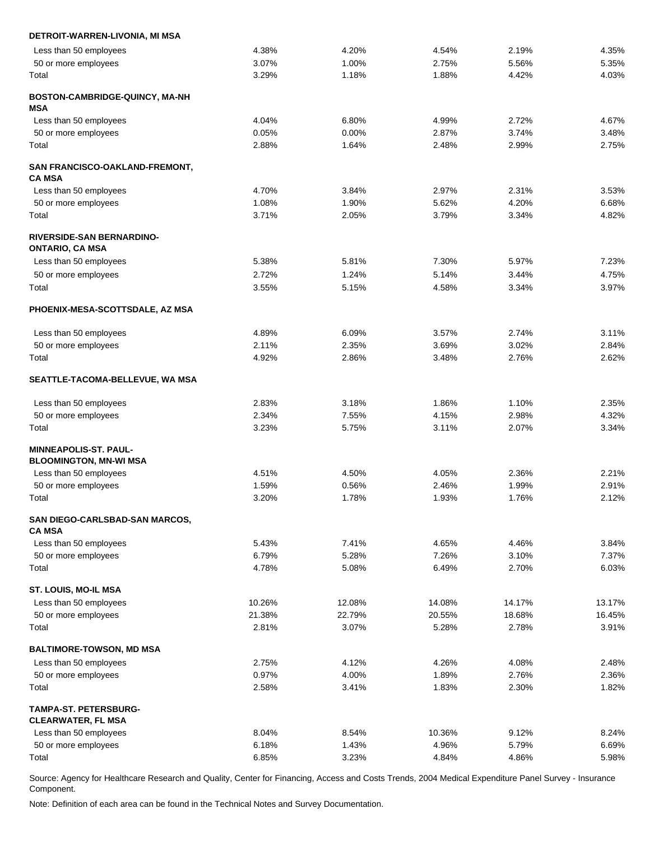| DETROIT-WARREN-LIVONIA, MI MSA                                |        |        |        |        |        |
|---------------------------------------------------------------|--------|--------|--------|--------|--------|
| Less than 50 employees                                        | 4.38%  | 4.20%  | 4.54%  | 2.19%  | 4.35%  |
| 50 or more employees                                          | 3.07%  | 1.00%  | 2.75%  | 5.56%  | 5.35%  |
| Total                                                         | 3.29%  | 1.18%  | 1.88%  | 4.42%  | 4.03%  |
| BOSTON-CAMBRIDGE-QUINCY, MA-NH<br><b>MSA</b>                  |        |        |        |        |        |
| Less than 50 employees                                        | 4.04%  | 6.80%  | 4.99%  | 2.72%  | 4.67%  |
| 50 or more employees                                          | 0.05%  | 0.00%  | 2.87%  | 3.74%  | 3.48%  |
| Total                                                         | 2.88%  | 1.64%  | 2.48%  | 2.99%  | 2.75%  |
| SAN FRANCISCO-OAKLAND-FREMONT,<br><b>CA MSA</b>               |        |        |        |        |        |
| Less than 50 employees                                        | 4.70%  | 3.84%  | 2.97%  | 2.31%  | 3.53%  |
| 50 or more employees                                          | 1.08%  | 1.90%  | 5.62%  | 4.20%  | 6.68%  |
| Total                                                         | 3.71%  | 2.05%  | 3.79%  | 3.34%  | 4.82%  |
| RIVERSIDE-SAN BERNARDINO-<br><b>ONTARIO, CA MSA</b>           |        |        |        |        |        |
| Less than 50 employees                                        | 5.38%  | 5.81%  | 7.30%  | 5.97%  | 7.23%  |
| 50 or more employees                                          | 2.72%  | 1.24%  | 5.14%  | 3.44%  | 4.75%  |
| Total                                                         | 3.55%  | 5.15%  | 4.58%  | 3.34%  | 3.97%  |
| PHOENIX-MESA-SCOTTSDALE, AZ MSA                               |        |        |        |        |        |
| Less than 50 employees                                        | 4.89%  | 6.09%  | 3.57%  | 2.74%  | 3.11%  |
| 50 or more employees                                          | 2.11%  | 2.35%  | 3.69%  | 3.02%  | 2.84%  |
| Total                                                         | 4.92%  | 2.86%  | 3.48%  | 2.76%  | 2.62%  |
| SEATTLE-TACOMA-BELLEVUE, WA MSA                               |        |        |        |        |        |
| Less than 50 employees                                        | 2.83%  | 3.18%  | 1.86%  | 1.10%  | 2.35%  |
| 50 or more employees                                          | 2.34%  | 7.55%  | 4.15%  | 2.98%  | 4.32%  |
| Total                                                         | 3.23%  | 5.75%  | 3.11%  | 2.07%  | 3.34%  |
| <b>MINNEAPOLIS-ST, PAUL-</b><br><b>BLOOMINGTON, MN-WI MSA</b> |        |        |        |        |        |
| Less than 50 employees                                        | 4.51%  | 4.50%  | 4.05%  | 2.36%  | 2.21%  |
| 50 or more employees                                          | 1.59%  | 0.56%  | 2.46%  | 1.99%  | 2.91%  |
| Total                                                         | 3.20%  | 1.78%  | 1.93%  | 1.76%  | 2.12%  |
| SAN DIEGO-CARLSBAD-SAN MARCOS,<br><b>CA MSA</b>               |        |        |        |        |        |
| Less than 50 employees                                        | 5.43%  | 7.41%  | 4.65%  | 4.46%  | 3.84%  |
| 50 or more employees                                          | 6.79%  | 5.28%  | 7.26%  | 3.10%  | 7.37%  |
| Total                                                         | 4.78%  | 5.08%  | 6.49%  | 2.70%  | 6.03%  |
| ST. LOUIS, MO-IL MSA                                          |        |        |        |        |        |
| Less than 50 employees                                        | 10.26% | 12.08% | 14.08% | 14.17% | 13.17% |
| 50 or more employees                                          | 21.38% | 22.79% | 20.55% | 18.68% | 16.45% |
| Total                                                         | 2.81%  | 3.07%  | 5.28%  | 2.78%  | 3.91%  |
| <b>BALTIMORE-TOWSON, MD MSA</b>                               |        |        |        |        |        |
| Less than 50 employees                                        | 2.75%  | 4.12%  | 4.26%  | 4.08%  | 2.48%  |
| 50 or more employees                                          | 0.97%  | 4.00%  | 1.89%  | 2.76%  | 2.36%  |
| Total                                                         | 2.58%  | 3.41%  | 1.83%  | 2.30%  | 1.82%  |
| <b>TAMPA-ST. PETERSBURG-</b><br><b>CLEARWATER, FL MSA</b>     |        |        |        |        |        |
| Less than 50 employees                                        | 8.04%  | 8.54%  | 10.36% | 9.12%  | 8.24%  |
| 50 or more employees                                          | 6.18%  | 1.43%  | 4.96%  | 5.79%  | 6.69%  |
| Total                                                         | 6.85%  | 3.23%  | 4.84%  | 4.86%  | 5.98%  |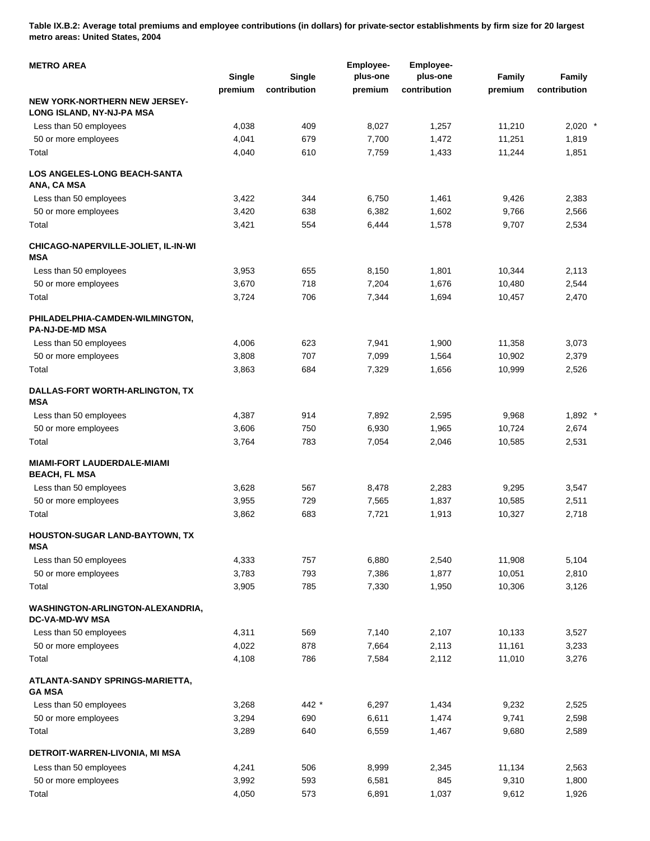**Table IX.B.2: Average total premiums and employee contributions (in dollars) for private-sector establishments by firm size for 20 largest metro areas: United States, 2004** 

| <b>METRO AREA</b>                                          | <b>Single</b> | <b>Single</b> | <b>Employee-</b><br>plus-one | Employee-<br>plus-one | Family  | Family       |
|------------------------------------------------------------|---------------|---------------|------------------------------|-----------------------|---------|--------------|
|                                                            | premium       | contribution  | premium                      | contribution          | premium | contribution |
| NEW YORK-NORTHERN NEW JERSEY-<br>LONG ISLAND, NY-NJ-PA MSA |               |               |                              |                       |         |              |
| Less than 50 employees                                     | 4,038         | 409           | 8,027                        | 1,257                 | 11,210  | $2,020$ *    |
| 50 or more employees                                       | 4,041         | 679           | 7,700                        | 1,472                 | 11,251  | 1,819        |
| Total                                                      | 4,040         | 610           | 7,759                        | 1,433                 | 11,244  | 1,851        |
| <b>LOS ANGELES-LONG BEACH-SANTA</b><br>ANA, CA MSA         |               |               |                              |                       |         |              |
| Less than 50 employees                                     | 3,422         | 344           | 6,750                        | 1,461                 | 9,426   | 2,383        |
| 50 or more employees                                       | 3,420         | 638           | 6,382                        | 1,602                 | 9,766   | 2,566        |
| Total                                                      | 3,421         | 554           | 6,444                        | 1,578                 | 9,707   | 2,534        |
| CHICAGO-NAPERVILLE-JOLIET, IL-IN-WI<br><b>MSA</b>          |               |               |                              |                       |         |              |
| Less than 50 employees                                     | 3,953         | 655           | 8,150                        | 1,801                 | 10,344  | 2,113        |
| 50 or more employees                                       | 3,670         | 718           | 7,204                        | 1,676                 | 10,480  | 2,544        |
| Total                                                      | 3,724         | 706           | 7,344                        | 1,694                 | 10,457  | 2,470        |
| PHILADELPHIA-CAMDEN-WILMINGTON,<br><b>PA-NJ-DE-MD MSA</b>  |               |               |                              |                       |         |              |
| Less than 50 employees                                     | 4,006         | 623           | 7,941                        | 1,900                 | 11,358  | 3,073        |
| 50 or more employees                                       | 3,808         | 707           | 7,099                        | 1,564                 | 10,902  | 2,379        |
| Total                                                      | 3,863         | 684           | 7,329                        | 1,656                 | 10,999  | 2,526        |
| DALLAS-FORT WORTH-ARLINGTON, TX<br><b>MSA</b>              |               |               |                              |                       |         |              |
| Less than 50 employees                                     | 4,387         | 914           | 7,892                        | 2,595                 | 9,968   | $1,892$ *    |
| 50 or more employees                                       | 3,606         | 750           | 6,930                        | 1,965                 | 10,724  | 2,674        |
| Total                                                      | 3,764         | 783           | 7,054                        | 2,046                 | 10,585  | 2,531        |
| <b>MIAMI-FORT LAUDERDALE-MIAMI</b><br><b>BEACH, FL MSA</b> |               |               |                              |                       |         |              |
| Less than 50 employees                                     | 3,628         | 567           | 8,478                        | 2,283                 | 9,295   | 3,547        |
| 50 or more employees                                       | 3,955         | 729           | 7,565                        | 1,837                 | 10,585  | 2,511        |
| Total                                                      | 3,862         | 683           | 7,721                        | 1,913                 | 10,327  | 2,718        |
| <b>HOUSTON-SUGAR LAND-BAYTOWN, TX</b><br>MSA               |               |               |                              |                       |         |              |
| Less than 50 employees                                     | 4,333         | 757           | 6,880                        | 2,540                 | 11,908  | 5,104        |
| 50 or more employees                                       | 3,783         | 793           | 7,386                        | 1,877                 | 10,051  | 2,810        |
| Total                                                      | 3,905         | 785           | 7,330                        | 1,950                 | 10,306  | 3,126        |
| WASHINGTON-ARLINGTON-ALEXANDRIA,<br><b>DC-VA-MD-WV MSA</b> |               |               |                              |                       |         |              |
| Less than 50 employees                                     | 4,311         | 569           | 7,140                        | 2,107                 | 10,133  | 3,527        |
| 50 or more employees                                       | 4,022         | 878           | 7,664                        | 2,113                 | 11,161  | 3,233        |
| Total                                                      | 4,108         | 786           | 7,584                        | 2,112                 | 11,010  | 3,276        |
| ATLANTA-SANDY SPRINGS-MARIETTA,<br><b>GA MSA</b>           |               |               |                              |                       |         |              |
| Less than 50 employees                                     | 3,268         | 442 *         | 6,297                        | 1,434                 | 9,232   | 2,525        |
| 50 or more employees                                       | 3,294         | 690           | 6,611                        | 1,474                 | 9,741   | 2,598        |
| Total                                                      | 3,289         | 640           | 6,559                        | 1,467                 | 9,680   | 2,589        |
| DETROIT-WARREN-LIVONIA, MI MSA                             |               |               |                              |                       |         |              |
| Less than 50 employees                                     | 4,241         | 506           | 8,999                        | 2,345                 | 11,134  | 2,563        |
| 50 or more employees                                       | 3,992         | 593           | 6,581                        | 845                   | 9,310   | 1,800        |
| Total                                                      | 4,050         | 573           | 6,891                        | 1,037                 | 9,612   | 1,926        |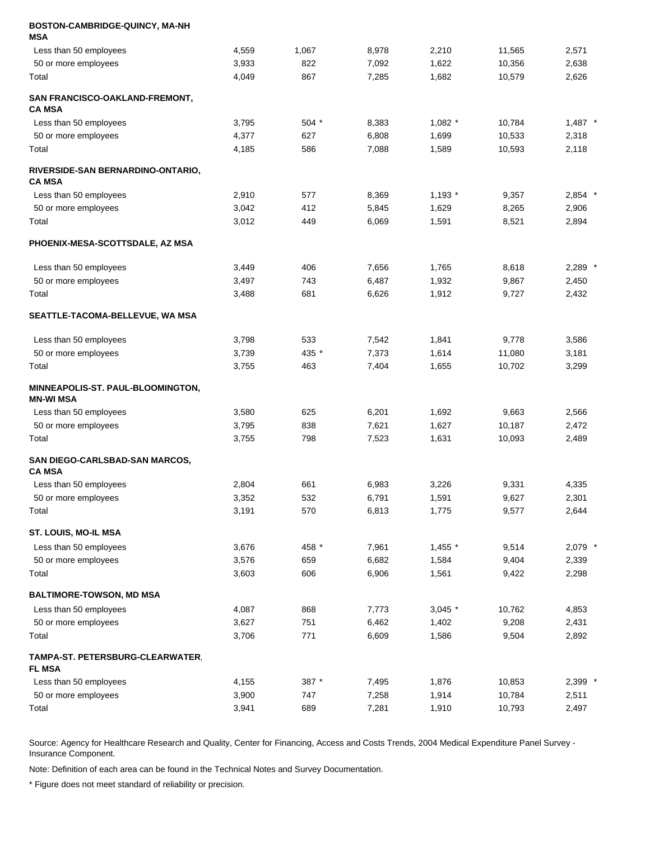| BOSTON-CAMBRIDGE-QUINCY, MA-NH                    |       |         |       |           |        |           |
|---------------------------------------------------|-------|---------|-------|-----------|--------|-----------|
| MSA                                               |       |         |       |           |        |           |
| Less than 50 employees                            | 4,559 | 1,067   | 8,978 | 2,210     | 11,565 | 2,571     |
| 50 or more employees                              | 3,933 | 822     | 7,092 | 1,622     | 10,356 | 2,638     |
| Total                                             | 4,049 | 867     | 7,285 | 1,682     | 10,579 | 2,626     |
| SAN FRANCISCO-OAKLAND-FREMONT,<br>CA MSA          |       |         |       |           |        |           |
| Less than 50 employees                            | 3,795 | $504$ * | 8,383 | $1,082$ * | 10,784 | $1,487$ * |
| 50 or more employees                              | 4,377 | 627     | 6,808 | 1,699     | 10,533 | 2,318     |
| Total                                             | 4,185 | 586     | 7,088 | 1,589     | 10,593 | 2,118     |
| RIVERSIDE-SAN BERNARDINO-ONTARIO,<br>CA MSA       |       |         |       |           |        |           |
| Less than 50 employees                            | 2,910 | 577     | 8,369 | $1,193$ * | 9,357  | $2,854$ * |
| 50 or more employees                              | 3,042 | 412     | 5,845 | 1,629     | 8,265  | 2,906     |
| Total                                             | 3,012 | 449     | 6,069 | 1,591     | 8,521  | 2,894     |
| PHOENIX-MESA-SCOTTSDALE, AZ MSA                   |       |         |       |           |        |           |
| Less than 50 employees                            | 3,449 | 406     | 7,656 | 1,765     | 8,618  | $2,289$ * |
| 50 or more employees                              | 3,497 | 743     | 6,487 | 1,932     | 9,867  | 2,450     |
| Total                                             | 3,488 | 681     | 6,626 | 1,912     | 9,727  | 2,432     |
| <b>SEATTLE-TACOMA-BELLEVUE, WA MSA</b>            |       |         |       |           |        |           |
| Less than 50 employees                            | 3,798 | 533     | 7,542 | 1,841     | 9,778  | 3,586     |
| 50 or more employees                              | 3,739 | 435 *   | 7,373 | 1,614     | 11,080 | 3,181     |
| Total                                             | 3,755 | 463     | 7,404 | 1,655     | 10,702 | 3,299     |
| MINNEAPOLIS-ST. PAUL-BLOOMINGTON,<br>MN-WI MSA    |       |         |       |           |        |           |
| Less than 50 employees                            | 3,580 | 625     | 6,201 | 1,692     | 9,663  | 2,566     |
| 50 or more employees                              | 3,795 | 838     | 7,621 | 1,627     | 10,187 | 2,472     |
| Total                                             | 3,755 | 798     | 7,523 | 1,631     | 10,093 | 2,489     |
| SAN DIEGO-CARLSBAD-SAN MARCOS,<br><b>CA MSA</b>   |       |         |       |           |        |           |
| Less than 50 employees                            | 2,804 | 661     | 6,983 | 3,226     | 9,331  | 4,335     |
| 50 or more employees                              | 3,352 | 532     | 6,791 | 1,591     | 9,627  | 2,301     |
| Total                                             | 3,191 | 570     | 6,813 | 1,775     | 9,577  | 2,644     |
| ST. LOUIS, MO-IL MSA                              |       |         |       |           |        |           |
| Less than 50 employees                            | 3,676 | 458 *   | 7,961 | 1,455 *   | 9,514  | 2,079 *   |
| 50 or more employees                              | 3,576 | 659     | 6,682 | 1,584     | 9,404  | 2,339     |
| Total                                             | 3,603 | 606     | 6,906 | 1,561     | 9,422  | 2,298     |
| BALTIMORE-TOWSON, MD MSA                          |       |         |       |           |        |           |
| Less than 50 employees                            | 4,087 | 868     | 7,773 | $3,045$ * | 10,762 | 4,853     |
| 50 or more employees                              | 3,627 | 751     | 6,462 | 1,402     | 9,208  | 2,431     |
| Total                                             | 3,706 | 771     | 6,609 | 1,586     | 9,504  | 2,892     |
| TAMPA-ST. PETERSBURG-CLEARWATER,<br><b>FL MSA</b> |       |         |       |           |        |           |
| Less than 50 employees                            | 4,155 | 387 *   | 7,495 | 1,876     | 10,853 | 2,399 *   |
| 50 or more employees                              | 3,900 | 747     | 7,258 | 1,914     | 10,784 | 2,511     |
| Total                                             | 3,941 | 689     | 7,281 | 1,910     | 10,793 | 2,497     |

Note: Definition of each area can be found in the Technical Notes and Survey Documentation.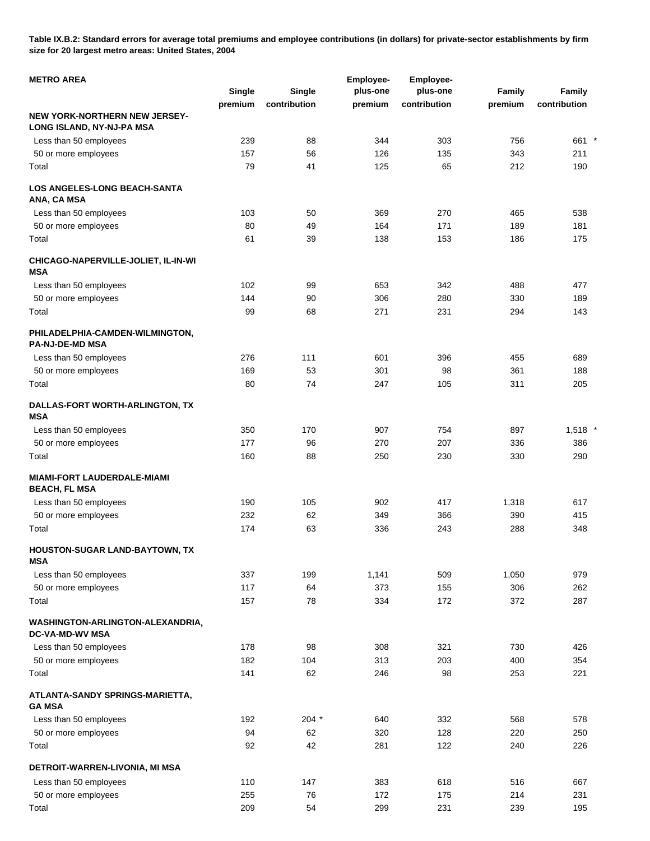**Table IX.B.2: Standard errors for average total premiums and employee contributions (in dollars) for private-sector establishments by firm size for 20 largest metro areas: United States, 2004** 

| <b>METRO AREA</b>                                          |         |              | <b>Employee-</b> | Employee-    |         |              |  |
|------------------------------------------------------------|---------|--------------|------------------|--------------|---------|--------------|--|
|                                                            | Single  | Single       | plus-one         | plus-one     | Family  | Family       |  |
|                                                            | premium | contribution | premium          | contribution | premium | contribution |  |
| NEW YORK-NORTHERN NEW JERSEY-<br>LONG ISLAND, NY-NJ-PA MSA |         |              |                  |              |         |              |  |
| Less than 50 employees                                     | 239     | 88           | 344              | 303          | 756     | 661 *        |  |
| 50 or more employees                                       | 157     | 56           | 126              | 135          | 343     | 211          |  |
| Total                                                      | 79      | 41           | 125              | 65           | 212     | 190          |  |
| <b>LOS ANGELES-LONG BEACH-SANTA</b><br>ANA, CA MSA         |         |              |                  |              |         |              |  |
| Less than 50 employees                                     | 103     | 50           | 369              | 270          | 465     | 538          |  |
| 50 or more employees                                       | 80      | 49           | 164              | 171          | 189     | 181          |  |
| Total                                                      | 61      | 39           | 138              | 153          | 186     | 175          |  |
| CHICAGO-NAPERVILLE-JOLIET, IL-IN-WI<br>MSA                 |         |              |                  |              |         |              |  |
| Less than 50 employees                                     | 102     | 99           | 653              | 342          | 488     | 477          |  |
| 50 or more employees                                       | 144     | 90           | 306              | 280          | 330     | 189          |  |
| Total                                                      | 99      | 68           | 271              | 231          | 294     | 143          |  |
| PHILADELPHIA-CAMDEN-WILMINGTON,<br><b>PA-NJ-DE-MD MSA</b>  |         |              |                  |              |         |              |  |
| Less than 50 employees                                     | 276     | 111          | 601              | 396          | 455     | 689          |  |
| 50 or more employees                                       | 169     | 53           | 301              | 98           | 361     | 188          |  |
| Total                                                      | 80      | 74           | 247              | 105          | 311     | 205          |  |
| DALLAS-FORT WORTH-ARLINGTON, TX<br>MSA                     |         |              |                  |              |         |              |  |
| Less than 50 employees                                     | 350     | 170          | 907              | 754          | 897     | $1,518$ *    |  |
| 50 or more employees                                       | 177     | 96           | 270              | 207          | 336     | 386          |  |
| Total                                                      | 160     | 88           | 250              | 230          | 330     | 290          |  |
| <b>MIAMI-FORT LAUDERDALE-MIAMI</b><br><b>BEACH, FL MSA</b> |         |              |                  |              |         |              |  |
| Less than 50 employees                                     | 190     | 105          | 902              | 417          | 1,318   | 617          |  |
| 50 or more employees                                       | 232     | 62           | 349              | 366          | 390     | 415          |  |
| Total                                                      | 174     | 63           | 336              | 243          | 288     | 348          |  |
| HOUSTON-SUGAR LAND-BAYTOWN, TX<br>MSA                      |         |              |                  |              |         |              |  |
| Less than 50 employees                                     | 337     | 199          | 1,141            | 509          | 1,050   | 979          |  |
| 50 or more employees                                       | 117     | 64           | 373              | 155          | 306     | 262          |  |
| Total                                                      | 157     | 78           | 334              | 172          | 372     | 287          |  |
| WASHINGTON-ARLINGTON-ALEXANDRIA,<br><b>DC-VA-MD-WV MSA</b> |         |              |                  |              |         |              |  |
| Less than 50 employees                                     | 178     | 98           | 308              | 321          | 730     | 426          |  |
| 50 or more employees                                       | 182     | 104          | 313              | 203          | 400     | 354          |  |
| Total                                                      | 141     | 62           | 246              | 98           | 253     | 221          |  |
| ATLANTA-SANDY SPRINGS-MARIETTA,<br><b>GA MSA</b>           |         |              |                  |              |         |              |  |
| Less than 50 employees                                     | 192     | $204 *$      | 640              | 332          | 568     | 578          |  |
| 50 or more employees                                       | 94      | 62           | 320              | 128          | 220     | 250          |  |
| Total                                                      | 92      | 42           | 281              | 122          | 240     | 226          |  |
| DETROIT-WARREN-LIVONIA, MI MSA                             |         |              |                  |              |         |              |  |
| Less than 50 employees                                     | 110     | 147          | 383              | 618          | 516     | 667          |  |
| 50 or more employees                                       | 255     | 76           | 172              | 175          | 214     | 231          |  |
| Total                                                      | 209     | 54           | 299              | 231          | 239     | 195          |  |